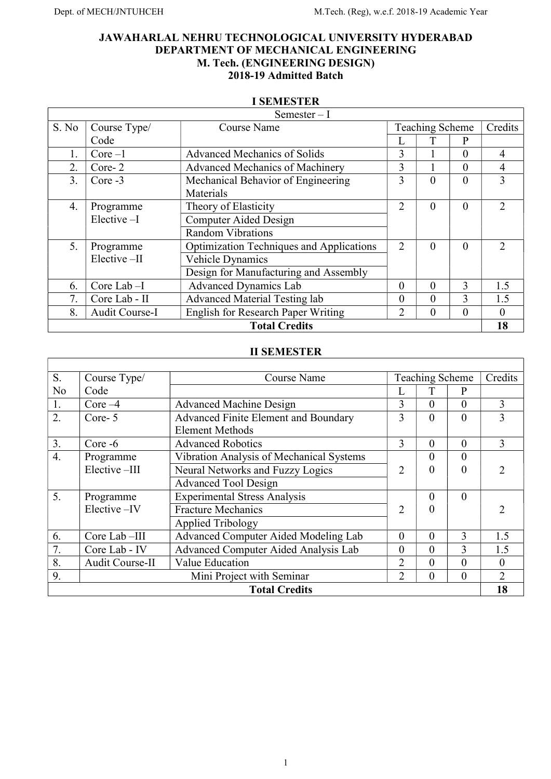# JAWAHARLAL NEHRU TECHNOLOGICAL UNIVERSITY HYDERABAD DEPARTMENT OF MECHANICAL ENGINEERING M. Tech. (ENGINEERING DESIGN) 2018-19 Admitted Batch

#### I SEMESTER

|       |                | $Semester-I$                                    |                |                 |          |                |
|-------|----------------|-------------------------------------------------|----------------|-----------------|----------|----------------|
| S. No | Course Type/   | <b>Course Name</b>                              |                | Teaching Scheme |          | Credits        |
|       | Code           |                                                 |                |                 | P        |                |
| 1.    | $Core-1$       | <b>Advanced Mechanics of Solids</b>             | 3              |                 | $\theta$ | 4              |
| 2.    | $Core-2$       | <b>Advanced Mechanics of Machinery</b>          | 3              |                 | $\theta$ | 4              |
| 3.    | Core -3        | Mechanical Behavior of Engineering              | 3              | $\theta$        | $\Omega$ | 3              |
|       |                | Materials                                       |                |                 |          |                |
| 4.    | Programme      | Theory of Elasticity                            | $\overline{2}$ | $\Omega$        | $\Omega$ | $\mathcal{D}$  |
|       | Elective-I     | Computer Aided Design                           |                |                 |          |                |
|       |                | <b>Random Vibrations</b>                        |                |                 |          |                |
| 5.    | Programme      | <b>Optimization Techniques and Applications</b> | $\overline{2}$ | $\theta$        | $\Omega$ | $\mathfrak{D}$ |
|       | Elective-II    | Vehicle Dynamics                                |                |                 |          |                |
|       |                | Design for Manufacturing and Assembly           |                |                 |          |                |
| 6.    | Core Lab-I     | <b>Advanced Dynamics Lab</b>                    | $\theta$       | $\Omega$        | 3        | 1.5            |
| 7.    | Core Lab - II  | Advanced Material Testing lab                   | $\theta$       | $\theta$        | 3        | 1.5            |
| 8.    | Audit Course-I | English for Research Paper Writing              | $\mathfrak{D}$ | $\theta$        | $\Omega$ | $\Omega$       |
|       |                | <b>Total Credits</b>                            |                |                 |          | 18             |

#### II SEMESTER

| S.               | Course Type/    | Course Name                                 |                               | <b>Teaching Scheme</b> |          | Credits       |
|------------------|-----------------|---------------------------------------------|-------------------------------|------------------------|----------|---------------|
| N <sub>o</sub>   | Code            |                                             |                               |                        | P        |               |
| 1.               | Core $-4$       | <b>Advanced Machine Design</b>              | 3                             | $\Omega$               | $\theta$ | 3             |
| 2.               | Core-5          | <b>Advanced Finite Element and Boundary</b> | 3                             | $\theta$               | $\theta$ | 3             |
|                  |                 | <b>Element Methods</b>                      |                               |                        |          |               |
| 3.               | $Core - 6$      | <b>Advanced Robotics</b>                    | 3                             | $\theta$               | $\theta$ | 3             |
| $\overline{4}$ . | Programme       | Vibration Analysis of Mechanical Systems    |                               | $\Omega$               | $\Omega$ |               |
|                  | Elective-III    | Neural Networks and Fuzzy Logics            | $\mathfrak{D}_{\mathfrak{p}}$ | 0                      | 0        | າ             |
|                  |                 | <b>Advanced Tool Design</b>                 |                               |                        |          |               |
| 5.               | Programme       | <b>Experimental Stress Analysis</b>         |                               | 0                      | 0        |               |
|                  | Elective-IV     | <b>Fracture Mechanics</b>                   | 2                             | 0                      |          | $\mathcal{D}$ |
|                  |                 | <b>Applied Tribology</b>                    |                               |                        |          |               |
| 6.               | Core Lab-III    | Advanced Computer Aided Modeling Lab        | $\theta$                      | $\theta$               | 3        | 1.5           |
| 7.               | Core Lab - IV   | Advanced Computer Aided Analysis Lab        | $\theta$                      | $\Omega$               | 3        | 1.5           |
| 8.               | Audit Course-II | Value Education                             | $\overline{2}$                | $\Omega$               | $\theta$ | $\Omega$      |
| 9.               |                 | Mini Project with Seminar                   | $\overline{2}$                | $\theta$               | $\theta$ | $\mathcal{D}$ |
|                  |                 | <b>Total Credits</b>                        |                               |                        |          | 18            |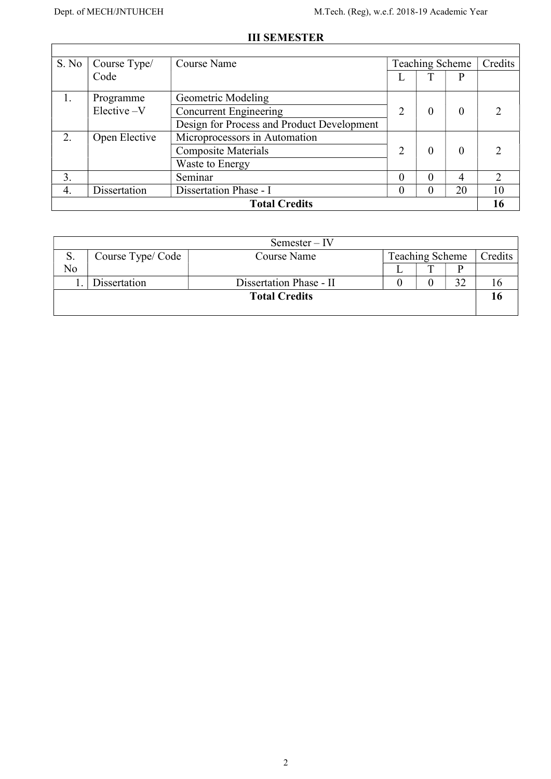$\Gamma$ 

# III SEMESTER

| S. No | Course Type/  | Course Name                                |                | <b>Teaching Scheme</b> |          | Credits        |
|-------|---------------|--------------------------------------------|----------------|------------------------|----------|----------------|
|       | Code          |                                            | ┺              |                        | P        |                |
| 1.    | Programme     | Geometric Modeling                         |                |                        |          |                |
|       | Elective -V   | <b>Concurrent Engineering</b>              | 2              | 0                      | $\theta$ |                |
|       |               | Design for Process and Product Development |                |                        |          |                |
| 2.    | Open Elective | Microprocessors in Automation              |                |                        |          |                |
|       |               | <b>Composite Materials</b>                 | $\overline{2}$ | $\theta$               | $\Omega$ |                |
|       |               | Waste to Energy                            |                |                        |          |                |
| 3.    |               | Seminar                                    | $\theta$       | $\Omega$               | 4        | $\mathfrak{D}$ |
| 4.    | Dissertation  | Dissertation Phase - I                     | $\theta$       | $\theta$               | 20       | 10             |
|       |               | <b>Total Credits</b>                       |                |                        |          | 16             |

|    |                  | Semester – IV           |                 |         |
|----|------------------|-------------------------|-----------------|---------|
| S. | Course Type/Code | Course Name             | Teaching Scheme | Credits |
| No |                  |                         |                 |         |
|    | Dissertation     | Dissertation Phase - II |                 |         |
|    |                  | <b>Total Credits</b>    |                 |         |
|    |                  |                         |                 |         |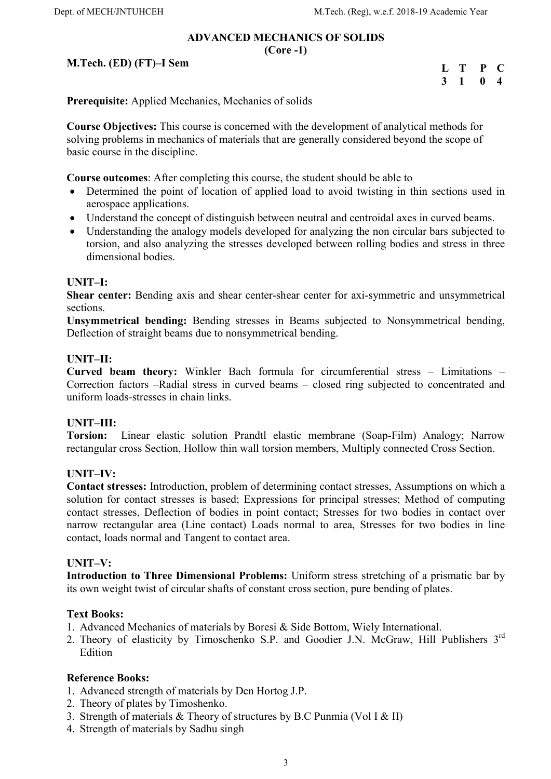#### ADVANCED MECHANICS OF SOLIDS (Core -1)

## M.Tech. (ED) (FT)–I Sem

| $\mathbf{L}$ | Т | P | C                       |
|--------------|---|---|-------------------------|
| 3            |   | 0 | $\overline{\mathbf{4}}$ |

Prerequisite: Applied Mechanics, Mechanics of solids

Course Objectives: This course is concerned with the development of analytical methods for solving problems in mechanics of materials that are generally considered beyond the scope of basic course in the discipline.

Course outcomes: After completing this course, the student should be able to

- Determined the point of location of applied load to avoid twisting in thin sections used in aerospace applications.
- Understand the concept of distinguish between neutral and centroidal axes in curved beams.
- Understanding the analogy models developed for analyzing the non circular bars subjected to torsion, and also analyzing the stresses developed between rolling bodies and stress in three dimensional bodies.

#### UNIT–I:

Shear center: Bending axis and shear center-shear center for axi-symmetric and unsymmetrical sections.

Unsymmetrical bending: Bending stresses in Beams subjected to Nonsymmetrical bending, Deflection of straight beams due to nonsymmetrical bending.

#### UNIT–II:

Curved beam theory: Winkler Bach formula for circumferential stress – Limitations – Correction factors –Radial stress in curved beams – closed ring subjected to concentrated and uniform loads-stresses in chain links.

#### UNIT–III:

Torsion: Linear elastic solution Prandtl elastic membrane (Soap-Film) Analogy; Narrow rectangular cross Section, Hollow thin wall torsion members, Multiply connected Cross Section.

#### UNIT–IV:

Contact stresses: Introduction, problem of determining contact stresses, Assumptions on which a solution for contact stresses is based; Expressions for principal stresses; Method of computing contact stresses, Deflection of bodies in point contact; Stresses for two bodies in contact over narrow rectangular area (Line contact) Loads normal to area, Stresses for two bodies in line contact, loads normal and Tangent to contact area.

#### UNIT–V:

Introduction to Three Dimensional Problems: Uniform stress stretching of a prismatic bar by its own weight twist of circular shafts of constant cross section, pure bending of plates.

#### Text Books:

- 1. Advanced Mechanics of materials by Boresi & Side Bottom, Wiely International.
- 2. Theory of elasticity by Timoschenko S.P. and Goodier J.N. McGraw, Hill Publishers 3rd Edition

- 1. Advanced strength of materials by Den Hortog J.P.
- 2. Theory of plates by Timoshenko.
- 3. Strength of materials  $&$  Theory of structures by B.C Punmia (Vol I  $&$  II)
- 4. Strength of materials by Sadhu singh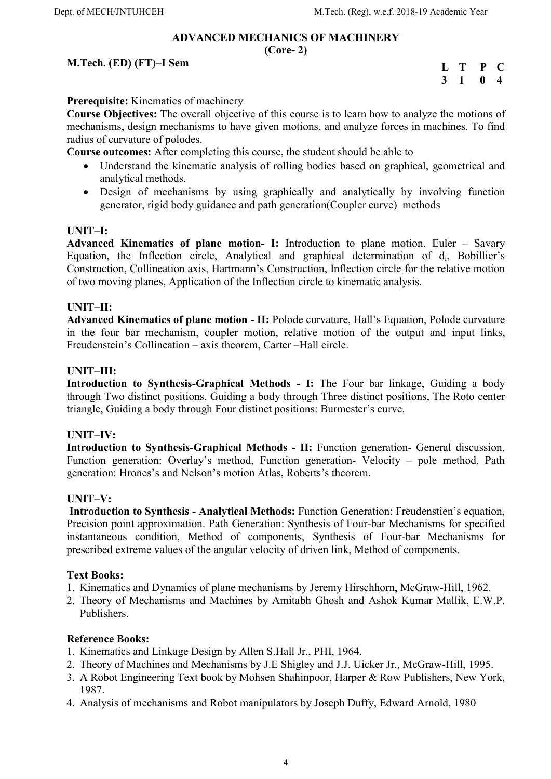## ADVANCED MECHANICS OF MACHINERY

#### (Core- 2)

## M.Tech. (ED) (FT)–I Sem

L T P C 3 1 0 4

Prerequisite: Kinematics of machinery

Course Objectives: The overall objective of this course is to learn how to analyze the motions of mechanisms, design mechanisms to have given motions, and analyze forces in machines. To find radius of curvature of polodes.

Course outcomes: After completing this course, the student should be able to

- Understand the kinematic analysis of rolling bodies based on graphical, geometrical and analytical methods.
- Design of mechanisms by using graphically and analytically by involving function generator, rigid body guidance and path generation(Coupler curve) methods

#### UNIT–I:

Advanced Kinematics of plane motion- I: Introduction to plane motion. Euler – Savary Equation, the Inflection circle, Analytical and graphical determination of  $d_i$ , Bobillier's Construction, Collineation axis, Hartmann's Construction, Inflection circle for the relative motion of two moving planes, Application of the Inflection circle to kinematic analysis.

#### UNIT–II:

Advanced Kinematics of plane motion - II: Polode curvature, Hall's Equation, Polode curvature in the four bar mechanism, coupler motion, relative motion of the output and input links, Freudenstein's Collineation – axis theorem, Carter –Hall circle.

#### UNIT–III:

Introduction to Synthesis-Graphical Methods - I: The Four bar linkage, Guiding a body through Two distinct positions, Guiding a body through Three distinct positions, The Roto center triangle, Guiding a body through Four distinct positions: Burmester's curve.

#### UNIT–IV:

Introduction to Synthesis-Graphical Methods - II: Function generation- General discussion, Function generation: Overlay's method, Function generation- Velocity – pole method, Path generation: Hrones's and Nelson's motion Atlas, Roberts's theorem.

#### UNIT–V:

 Introduction to Synthesis - Analytical Methods: Function Generation: Freudenstien's equation, Precision point approximation. Path Generation: Synthesis of Four-bar Mechanisms for specified instantaneous condition, Method of components, Synthesis of Four-bar Mechanisms for prescribed extreme values of the angular velocity of driven link, Method of components.

#### Text Books:

- 1. Kinematics and Dynamics of plane mechanisms by Jeremy Hirschhorn, McGraw-Hill, 1962.
- 2. Theory of Mechanisms and Machines by Amitabh Ghosh and Ashok Kumar Mallik, E.W.P. Publishers.

- 1. Kinematics and Linkage Design by Allen S.Hall Jr., PHI, 1964.
- 2. Theory of Machines and Mechanisms by J.E Shigley and J.J. Uicker Jr., McGraw-Hill, 1995.
- 3. A Robot Engineering Text book by Mohsen Shahinpoor, Harper & Row Publishers, New York, 1987.
- 4. Analysis of mechanisms and Robot manipulators by Joseph Duffy, Edward Arnold, 1980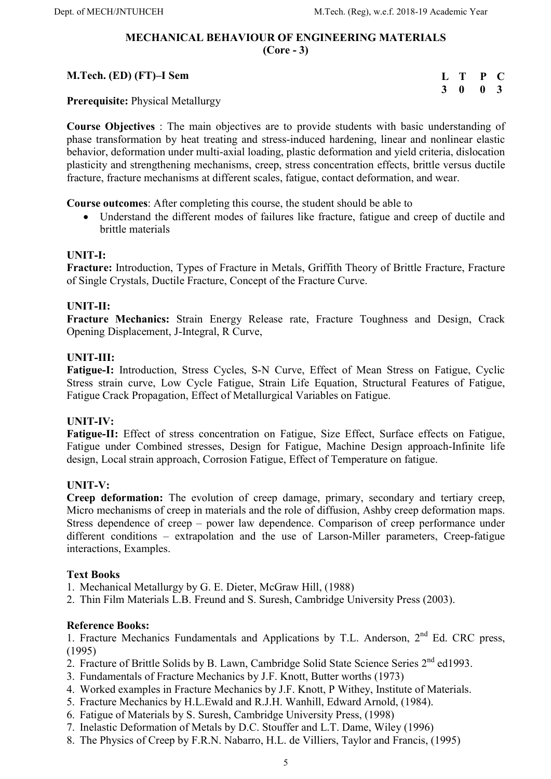#### MECHANICAL BEHAVIOUR OF ENGINEERING MATERIALS (Core - 3)

#### M.Tech. (ED) (FT)–I Sem L T P C 3 0 0 3

Prerequisite: Physical Metallurgy

Course Objectives : The main objectives are to provide students with basic understanding of phase transformation by heat treating and stress-induced hardening, linear and nonlinear elastic behavior, deformation under multi-axial loading, plastic deformation and yield criteria, dislocation plasticity and strengthening mechanisms, creep, stress concentration effects, brittle versus ductile fracture, fracture mechanisms at different scales, fatigue, contact deformation, and wear.

Course outcomes: After completing this course, the student should be able to

 Understand the different modes of failures like fracture, fatigue and creep of ductile and brittle materials

# UNIT-I:

Fracture: Introduction, Types of Fracture in Metals, Griffith Theory of Brittle Fracture, Fracture of Single Crystals, Ductile Fracture, Concept of the Fracture Curve.

# UNIT-II:

Fracture Mechanics: Strain Energy Release rate, Fracture Toughness and Design, Crack Opening Displacement, J-Integral, R Curve,

## UNIT-III:

Fatigue-I: Introduction, Stress Cycles, S-N Curve, Effect of Mean Stress on Fatigue, Cyclic Stress strain curve, Low Cycle Fatigue, Strain Life Equation, Structural Features of Fatigue, Fatigue Crack Propagation, Effect of Metallurgical Variables on Fatigue.

# UNIT-IV:

Fatigue-II: Effect of stress concentration on Fatigue, Size Effect, Surface effects on Fatigue, Fatigue under Combined stresses, Design for Fatigue, Machine Design approach-Infinite life design, Local strain approach, Corrosion Fatigue, Effect of Temperature on fatigue.

#### UNIT-V:

Creep deformation: The evolution of creep damage, primary, secondary and tertiary creep, Micro mechanisms of creep in materials and the role of diffusion, Ashby creep deformation maps. Stress dependence of creep – power law dependence. Comparison of creep performance under different conditions – extrapolation and the use of Larson-Miller parameters, Creep-fatigue interactions, Examples.

#### Text Books

1. Mechanical Metallurgy by G. E. Dieter, McGraw Hill, (1988)

2. Thin Film Materials L.B. Freund and S. Suresh, Cambridge University Press (2003).

#### Reference Books:

1. Fracture Mechanics Fundamentals and Applications by T.L. Anderson, 2<sup>nd</sup> Ed. CRC press, (1995)

- 2. Fracture of Brittle Solids by B. Lawn, Cambridge Solid State Science Series 2<sup>nd</sup> ed1993.
- 3. Fundamentals of Fracture Mechanics by J.F. Knott, Butter worths (1973)
- 4. Worked examples in Fracture Mechanics by J.F. Knott, P Withey, Institute of Materials.
- 5. Fracture Mechanics by H.L.Ewald and R.J.H. Wanhill, Edward Arnold, (1984).
- 6. Fatigue of Materials by S. Suresh, Cambridge University Press, (1998)
- 7. Inelastic Deformation of Metals by D.C. Stouffer and L.T. Dame, Wiley (1996)
- 8. The Physics of Creep by F.R.N. Nabarro, H.L. de Villiers, Taylor and Francis, (1995)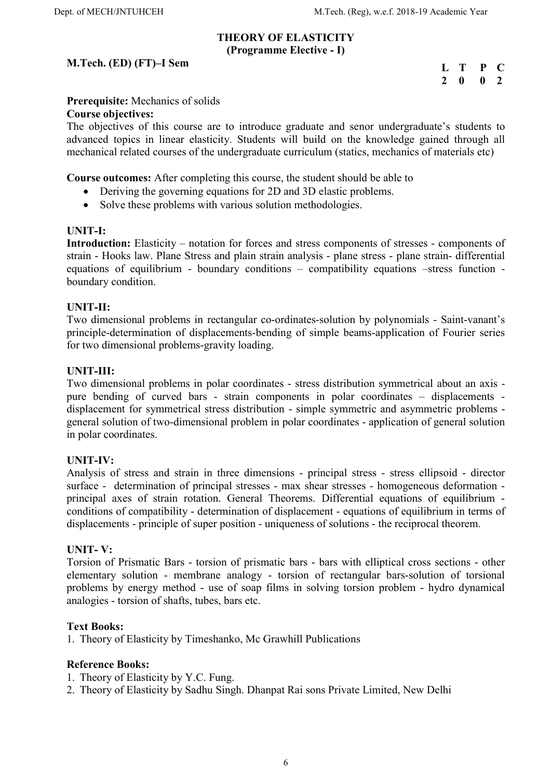#### THEORY OF ELASTICITY (Programme Elective - I)

## M.Tech. (ED) (FT)–I Sem

| П,           | T | P | O  |
|--------------|---|---|----|
| <sup>2</sup> | 0 | 0 | -2 |

## Prerequisite: Mechanics of solids

#### Course objectives:

The objectives of this course are to introduce graduate and senor undergraduate's students to advanced topics in linear elasticity. Students will build on the knowledge gained through all mechanical related courses of the undergraduate curriculum (statics, mechanics of materials etc)

Course outcomes: After completing this course, the student should be able to

- Deriving the governing equations for 2D and 3D elastic problems.
- Solve these problems with various solution methodologies.

#### UNIT-I:

Introduction: Elasticity – notation for forces and stress components of stresses - components of strain - Hooks law. Plane Stress and plain strain analysis - plane stress - plane strain- differential equations of equilibrium - boundary conditions – compatibility equations –stress function boundary condition.

#### UNIT-II:

Two dimensional problems in rectangular co-ordinates-solution by polynomials - Saint-vanant's principle-determination of displacements-bending of simple beams-application of Fourier series for two dimensional problems-gravity loading.

#### UNIT-III:

Two dimensional problems in polar coordinates - stress distribution symmetrical about an axis pure bending of curved bars - strain components in polar coordinates – displacements displacement for symmetrical stress distribution - simple symmetric and asymmetric problems general solution of two-dimensional problem in polar coordinates - application of general solution in polar coordinates.

#### UNIT-IV:

Analysis of stress and strain in three dimensions - principal stress - stress ellipsoid - director surface - determination of principal stresses - max shear stresses - homogeneous deformation principal axes of strain rotation. General Theorems. Differential equations of equilibrium conditions of compatibility - determination of displacement - equations of equilibrium in terms of displacements - principle of super position - uniqueness of solutions - the reciprocal theorem.

#### UNIT- V:

Torsion of Prismatic Bars - torsion of prismatic bars - bars with elliptical cross sections - other elementary solution - membrane analogy - torsion of rectangular bars-solution of torsional problems by energy method - use of soap films in solving torsion problem - hydro dynamical analogies - torsion of shafts, tubes, bars etc.

#### Text Books:

1. Theory of Elasticity by Timeshanko, Mc Grawhill Publications

- 1. Theory of Elasticity by Y.C. Fung.
- 2. Theory of Elasticity by Sadhu Singh. Dhanpat Rai sons Private Limited, New Delhi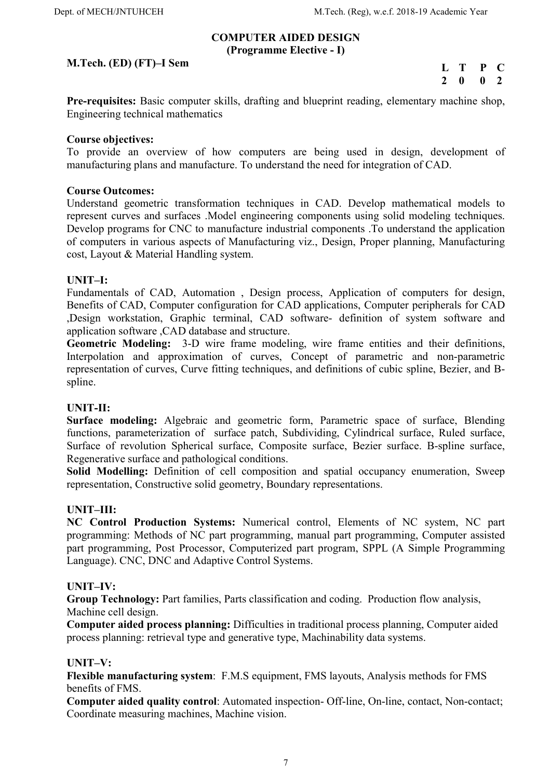#### COMPUTER AIDED DESIGN (Programme Elective - I)

## M.Tech. (ED) (FT)–I Sem

L T P C 2 0 0 2

Pre-requisites: Basic computer skills, drafting and blueprint reading, elementary machine shop, Engineering technical mathematics

#### Course objectives:

To provide an overview of how computers are being used in design, development of manufacturing plans and manufacture. To understand the need for integration of CAD.

#### Course Outcomes:

Understand geometric transformation techniques in CAD. Develop mathematical models to represent curves and surfaces .Model engineering components using solid modeling techniques. Develop programs for CNC to manufacture industrial components .To understand the application of computers in various aspects of Manufacturing viz., Design, Proper planning, Manufacturing cost, Layout & Material Handling system.

#### UNIT–I:

Fundamentals of CAD, Automation , Design process, Application of computers for design, Benefits of CAD, Computer configuration for CAD applications, Computer peripherals for CAD ,Design workstation, Graphic terminal, CAD software- definition of system software and application software ,CAD database and structure.

Geometric Modeling: 3-D wire frame modeling, wire frame entities and their definitions, Interpolation and approximation of curves, Concept of parametric and non-parametric representation of curves, Curve fitting techniques, and definitions of cubic spline, Bezier, and Bspline.

#### UNIT-II:

Surface modeling: Algebraic and geometric form, Parametric space of surface, Blending functions, parameterization of surface patch, Subdividing, Cylindrical surface, Ruled surface, Surface of revolution Spherical surface, Composite surface, Bezier surface. B-spline surface, Regenerative surface and pathological conditions.

Solid Modelling: Definition of cell composition and spatial occupancy enumeration, Sweep representation, Constructive solid geometry, Boundary representations.

#### UNIT–III:

NC Control Production Systems: Numerical control, Elements of NC system, NC part programming: Methods of NC part programming, manual part programming, Computer assisted part programming, Post Processor, Computerized part program, SPPL (A Simple Programming Language). CNC, DNC and Adaptive Control Systems.

#### UNIT–IV:

Group Technology: Part families, Parts classification and coding. Production flow analysis, Machine cell design.

Computer aided process planning: Difficulties in traditional process planning, Computer aided process planning: retrieval type and generative type, Machinability data systems.

#### UNIT–V:

Flexible manufacturing system: F.M.S equipment, FMS layouts, Analysis methods for FMS benefits of FMS.

Computer aided quality control: Automated inspection- Off-line, On-line, contact, Non-contact; Coordinate measuring machines, Machine vision.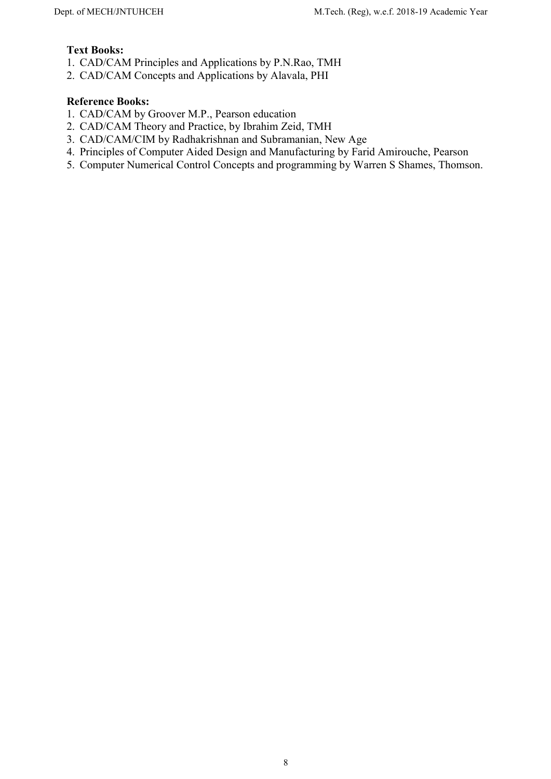## Text Books:

- 1. CAD/CAM Principles and Applications by P.N.Rao, TMH
- 2. CAD/CAM Concepts and Applications by Alavala, PHI

- 1. CAD/CAM by Groover M.P., Pearson education
- 2. CAD/CAM Theory and Practice, by Ibrahim Zeid, TMH
- 3. CAD/CAM/CIM by Radhakrishnan and Subramanian, New Age
- 4. Principles of Computer Aided Design and Manufacturing by Farid Amirouche, Pearson
- 5. Computer Numerical Control Concepts and programming by Warren S Shames, Thomson.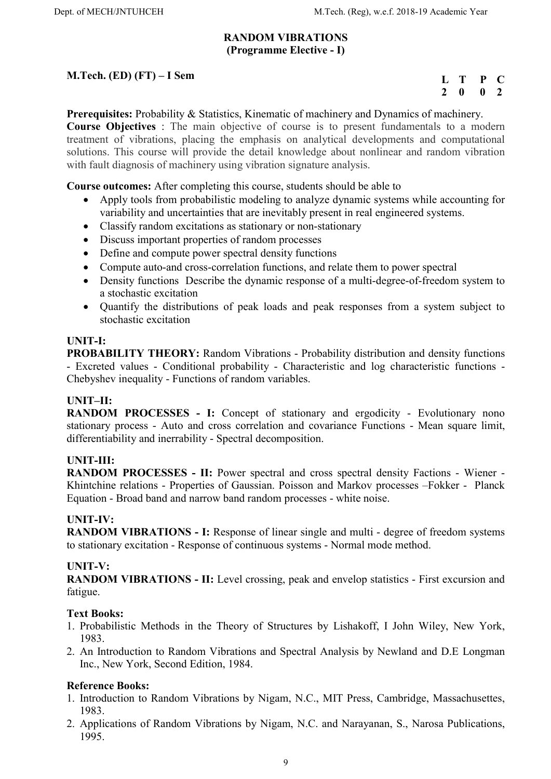#### RANDOM VIBRATIONS (Programme Elective - I)

# M.Tech. (ED) (FT) – I Sem

| L             | т | P | $\blacksquare$ |
|---------------|---|---|----------------|
| $\mathcal{L}$ | 0 | 0 | $\mathbf{Z}$   |

Prerequisites: Probability & Statistics, Kinematic of machinery and Dynamics of machinery. Course Objectives : The main objective of course is to present fundamentals to a modern treatment of vibrations, placing the emphasis on analytical developments and computational solutions. This course will provide the detail knowledge about nonlinear and random vibration with fault diagnosis of machinery using vibration signature analysis.

Course outcomes: After completing this course, students should be able to

- Apply tools from probabilistic modeling to analyze dynamic systems while accounting for variability and uncertainties that are inevitably present in real engineered systems.
- Classify random excitations as stationary or non-stationary
- Discuss important properties of random processes
- Define and compute power spectral density functions
- Compute auto-and cross-correlation functions, and relate them to power spectral
- Density functions Describe the dynamic response of a multi-degree-of-freedom system to a stochastic excitation
- Quantify the distributions of peak loads and peak responses from a system subject to stochastic excitation

# UNIT-I:

PROBABILITY THEORY: Random Vibrations - Probability distribution and density functions - Excreted values - Conditional probability - Characteristic and log characteristic functions - Chebyshev inequality - Functions of random variables.

# UNIT–II:

RANDOM PROCESSES - I: Concept of stationary and ergodicity - Evolutionary nono stationary process - Auto and cross correlation and covariance Functions - Mean square limit, differentiability and inerrability - Spectral decomposition.

# UNIT-III:

RANDOM PROCESSES - II: Power spectral and cross spectral density Factions - Wiener - Khintchine relations - Properties of Gaussian. Poisson and Markov processes –Fokker - Planck Equation - Broad band and narrow band random processes - white noise.

# UNIT-IV:

RANDOM VIBRATIONS - I: Response of linear single and multi - degree of freedom systems to stationary excitation - Response of continuous systems - Normal mode method.

#### UNIT-V:

RANDOM VIBRATIONS - II: Level crossing, peak and envelop statistics - First excursion and fatigue.

# Text Books:

- 1. Probabilistic Methods in the Theory of Structures by Lishakoff, I John Wiley, New York, 1983.
- 2. An Introduction to Random Vibrations and Spectral Analysis by Newland and D.E Longman Inc., New York, Second Edition, 1984.

- 1. Introduction to Random Vibrations by Nigam, N.C., MIT Press, Cambridge, Massachusettes, 1983.
- 2. Applications of Random Vibrations by Nigam, N.C. and Narayanan, S., Narosa Publications, 1995.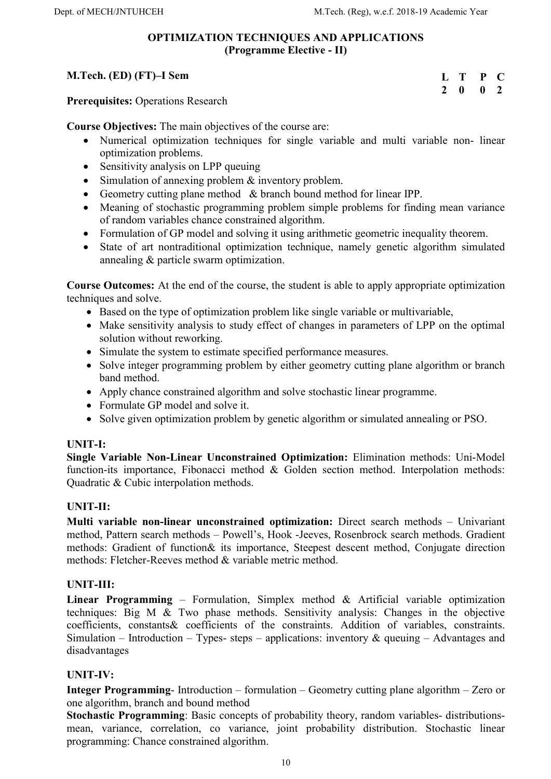#### OPTIMIZATION TECHNIQUES AND APPLICATIONS (Programme Elective - II)

#### M.Tech. (ED) (FT)–I Sem L T P C 2 0 0 2

Prerequisites: Operations Research

Course Objectives: The main objectives of the course are:

- Numerical optimization techniques for single variable and multi variable non- linear optimization problems.
- Sensitivity analysis on LPP queuing
- Simulation of annexing problem & inventory problem.
- Geometry cutting plane method & branch bound method for linear IPP.
- Meaning of stochastic programming problem simple problems for finding mean variance of random variables chance constrained algorithm.
- Formulation of GP model and solving it using arithmetic geometric inequality theorem.
- State of art nontraditional optimization technique, namely genetic algorithm simulated annealing & particle swarm optimization.

Course Outcomes: At the end of the course, the student is able to apply appropriate optimization techniques and solve.

- Based on the type of optimization problem like single variable or multivariable,
- Make sensitivity analysis to study effect of changes in parameters of LPP on the optimal solution without reworking.
- Simulate the system to estimate specified performance measures.
- Solve integer programming problem by either geometry cutting plane algorithm or branch band method.
- Apply chance constrained algorithm and solve stochastic linear programme.
- Formulate GP model and solve it.
- Solve given optimization problem by genetic algorithm or simulated annealing or PSO.

# UNIT-I:

Single Variable Non-Linear Unconstrained Optimization: Elimination methods: Uni-Model function-its importance, Fibonacci method & Golden section method. Interpolation methods: Quadratic & Cubic interpolation methods.

# UNIT-II:

Multi variable non-linear unconstrained optimization: Direct search methods – Univariant method, Pattern search methods – Powell's, Hook -Jeeves, Rosenbrock search methods. Gradient methods: Gradient of function& its importance, Steepest descent method, Conjugate direction methods: Fletcher-Reeves method & variable metric method.

# UNIT-III:

Linear Programming – Formulation, Simplex method & Artificial variable optimization techniques: Big M & Two phase methods. Sensitivity analysis: Changes in the objective coefficients, constants& coefficients of the constraints. Addition of variables, constraints. Simulation – Introduction – Types- steps – applications: inventory  $\&$  queuing – Advantages and disadvantages

# UNIT-IV:

Integer Programming- Introduction – formulation – Geometry cutting plane algorithm – Zero or one algorithm, branch and bound method

Stochastic Programming: Basic concepts of probability theory, random variables- distributionsmean, variance, correlation, co variance, joint probability distribution. Stochastic linear programming: Chance constrained algorithm.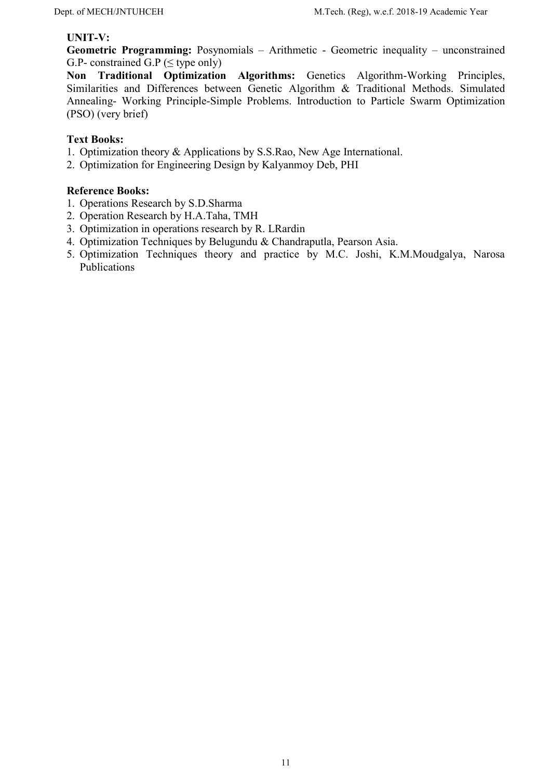#### UNIT-V:

Geometric Programming: Posynomials – Arithmetic - Geometric inequality – unconstrained G.P- constrained G.P ( $\leq$  type only)

Non Traditional Optimization Algorithms: Genetics Algorithm-Working Principles, Similarities and Differences between Genetic Algorithm & Traditional Methods. Simulated Annealing- Working Principle-Simple Problems. Introduction to Particle Swarm Optimization (PSO) (very brief)

#### Text Books:

- 1. Optimization theory & Applications by S.S.Rao, New Age International.
- 2. Optimization for Engineering Design by Kalyanmoy Deb, PHI

- 1. Operations Research by S.D.Sharma
- 2. Operation Research by H.A.Taha, TMH
- 3. Optimization in operations research by R. LRardin
- 4. Optimization Techniques by Belugundu & Chandraputla, Pearson Asia.
- 5. Optimization Techniques theory and practice by M.C. Joshi, K.M.Moudgalya, Narosa Publications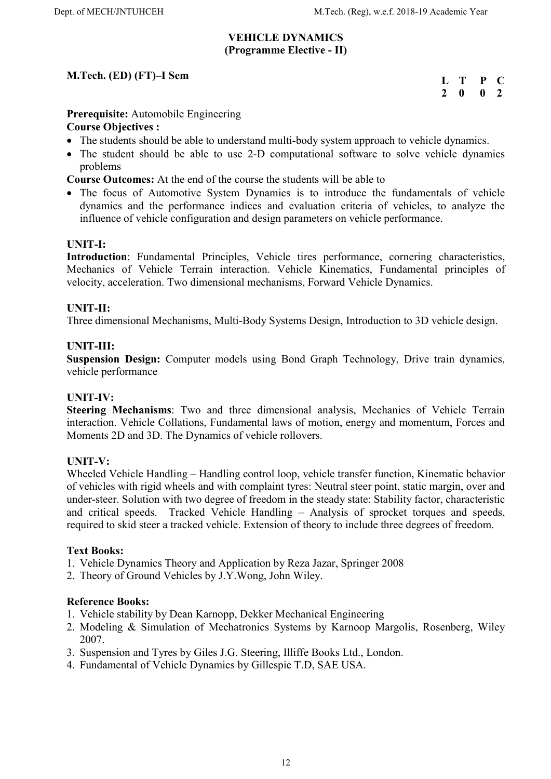#### VEHICLE DYNAMICS (Programme Elective - II)

# M.Tech. (ED) (FT)–I Sem

| L                | т | P | $\blacksquare$ |
|------------------|---|---|----------------|
| $\boldsymbol{Z}$ | 0 | 0 | -2             |

## Prerequisite: Automobile Engineering

## Course Objectives :

- The students should be able to understand multi-body system approach to vehicle dynamics.
- The student should be able to use 2-D computational software to solve vehicle dynamics problems
- Course Outcomes: At the end of the course the students will be able to
- The focus of Automotive System Dynamics is to introduce the fundamentals of vehicle dynamics and the performance indices and evaluation criteria of vehicles, to analyze the influence of vehicle configuration and design parameters on vehicle performance.

## UNIT-I:

Introduction: Fundamental Principles, Vehicle tires performance, cornering characteristics, Mechanics of Vehicle Terrain interaction. Vehicle Kinematics, Fundamental principles of velocity, acceleration. Two dimensional mechanisms, Forward Vehicle Dynamics.

## UNIT-II:

Three dimensional Mechanisms, Multi-Body Systems Design, Introduction to 3D vehicle design.

#### UNIT-III:

Suspension Design: Computer models using Bond Graph Technology, Drive train dynamics, vehicle performance

#### UNIT-IV:

Steering Mechanisms: Two and three dimensional analysis, Mechanics of Vehicle Terrain interaction. Vehicle Collations, Fundamental laws of motion, energy and momentum, Forces and Moments 2D and 3D. The Dynamics of vehicle rollovers.

#### UNIT-V:

Wheeled Vehicle Handling – Handling control loop, vehicle transfer function, Kinematic behavior of vehicles with rigid wheels and with complaint tyres: Neutral steer point, static margin, over and under-steer. Solution with two degree of freedom in the steady state: Stability factor, characteristic and critical speeds. Tracked Vehicle Handling – Analysis of sprocket torques and speeds, required to skid steer a tracked vehicle. Extension of theory to include three degrees of freedom.

#### Text Books:

- 1. Vehicle Dynamics Theory and Application by Reza Jazar, Springer 2008
- 2. Theory of Ground Vehicles by J.Y.Wong, John Wiley.

- 1. Vehicle stability by Dean Karnopp, Dekker Mechanical Engineering
- 2. Modeling & Simulation of Mechatronics Systems by Karnoop Margolis, Rosenberg, Wiley 2007.
- 3. Suspension and Tyres by Giles J.G. Steering, Illiffe Books Ltd., London.
- 4. Fundamental of Vehicle Dynamics by Gillespie T.D, SAE USA.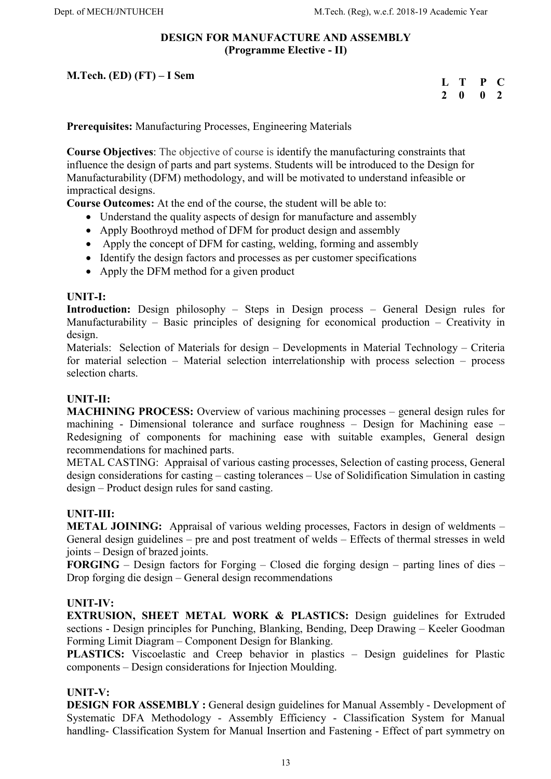#### DESIGN FOR MANUFACTURE AND ASSEMBLY (Programme Elective - II)

M.Tech. (ED) (FT) – I Sem

| L             | т | P | $\blacksquare$ |
|---------------|---|---|----------------|
| $\mathcal{L}$ | 0 | 0 | $\mathbf{Z}$   |

Prerequisites: Manufacturing Processes, Engineering Materials

Course Objectives: The objective of course is identify the manufacturing constraints that influence the design of parts and part systems. Students will be introduced to the Design for Manufacturability (DFM) methodology, and will be motivated to understand infeasible or impractical designs.

Course Outcomes: At the end of the course, the student will be able to:

- Understand the quality aspects of design for manufacture and assembly
- Apply Boothroyd method of DFM for product design and assembly
- Apply the concept of DFM for casting, welding, forming and assembly
- Identify the design factors and processes as per customer specifications
- Apply the DFM method for a given product

#### UNIT-I:

Introduction: Design philosophy – Steps in Design process – General Design rules for Manufacturability – Basic principles of designing for economical production – Creativity in design.

Materials: Selection of Materials for design – Developments in Material Technology – Criteria for material selection – Material selection interrelationship with process selection – process selection charts.

#### UNIT-II:

MACHINING PROCESS: Overview of various machining processes – general design rules for machining - Dimensional tolerance and surface roughness – Design for Machining ease – Redesigning of components for machining ease with suitable examples, General design recommendations for machined parts.

METAL CASTING: Appraisal of various casting processes, Selection of casting process, General design considerations for casting – casting tolerances – Use of Solidification Simulation in casting design – Product design rules for sand casting.

#### UNIT-III:

METAL JOINING: Appraisal of various welding processes, Factors in design of weldments – General design guidelines – pre and post treatment of welds – Effects of thermal stresses in weld joints – Design of brazed joints.

FORGING – Design factors for Forging – Closed die forging design – parting lines of dies – Drop forging die design – General design recommendations

#### UNIT-IV:

EXTRUSION, SHEET METAL WORK & PLASTICS: Design guidelines for Extruded sections - Design principles for Punching, Blanking, Bending, Deep Drawing – Keeler Goodman Forming Limit Diagram – Component Design for Blanking.

PLASTICS: Viscoelastic and Creep behavior in plastics – Design guidelines for Plastic components – Design considerations for Injection Moulding.

#### UNIT-V:

DESIGN FOR ASSEMBLY : General design guidelines for Manual Assembly - Development of Systematic DFA Methodology - Assembly Efficiency - Classification System for Manual handling- Classification System for Manual Insertion and Fastening - Effect of part symmetry on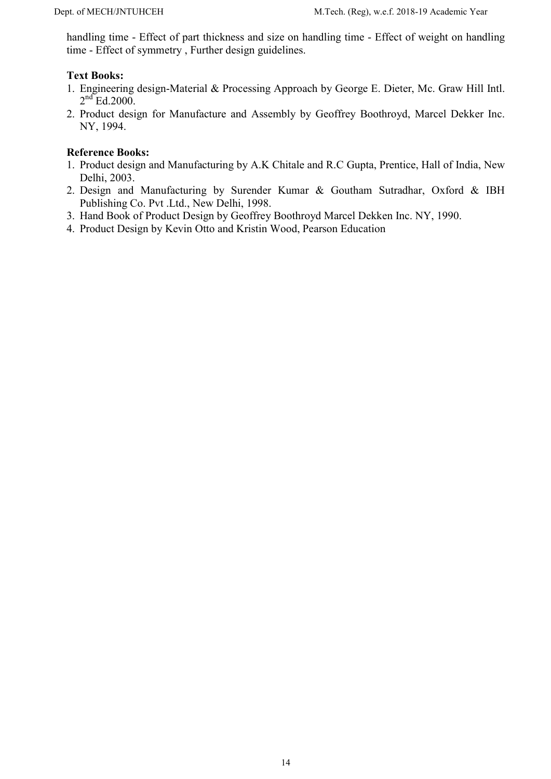handling time - Effect of part thickness and size on handling time - Effect of weight on handling time - Effect of symmetry , Further design guidelines.

## Text Books:

- 1. Engineering design-Material & Processing Approach by George E. Dieter, Mc. Graw Hill Intl.  $2<sup>nd</sup>$  Ed.2000.
- 2. Product design for Manufacture and Assembly by Geoffrey Boothroyd, Marcel Dekker Inc. NY, 1994.

- 1. Product design and Manufacturing by A.K Chitale and R.C Gupta, Prentice, Hall of India, New Delhi, 2003.
- 2. Design and Manufacturing by Surender Kumar & Goutham Sutradhar, Oxford & IBH Publishing Co. Pvt .Ltd., New Delhi, 1998.
- 3. Hand Book of Product Design by Geoffrey Boothroyd Marcel Dekken Inc. NY, 1990.
- 4. Product Design by Kevin Otto and Kristin Wood, Pearson Education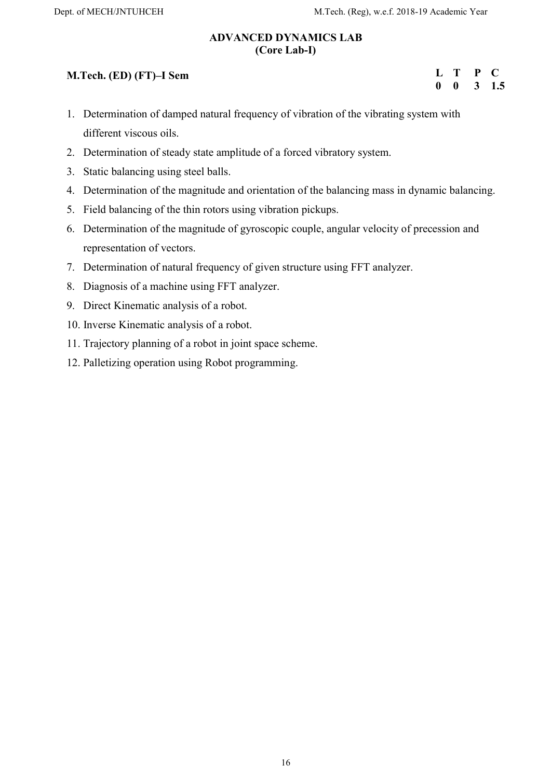L T P C 0 0 3 1.5

## ADVANCED DYNAMICS LAB (Core Lab-I)

# M.Tech. (ED) (FT)–I Sem

1. Determination of damped natural frequency of vibration of the vibrating system with different viscous oils.

- 2. Determination of steady state amplitude of a forced vibratory system.
- 3. Static balancing using steel balls.
- 4. Determination of the magnitude and orientation of the balancing mass in dynamic balancing.
- 5. Field balancing of the thin rotors using vibration pickups.
- 6. Determination of the magnitude of gyroscopic couple, angular velocity of precession and representation of vectors.
- 7. Determination of natural frequency of given structure using FFT analyzer.
- 8. Diagnosis of a machine using FFT analyzer.
- 9. Direct Kinematic analysis of a robot.
- 10. Inverse Kinematic analysis of a robot.
- 11. Trajectory planning of a robot in joint space scheme.
- 12. Palletizing operation using Robot programming.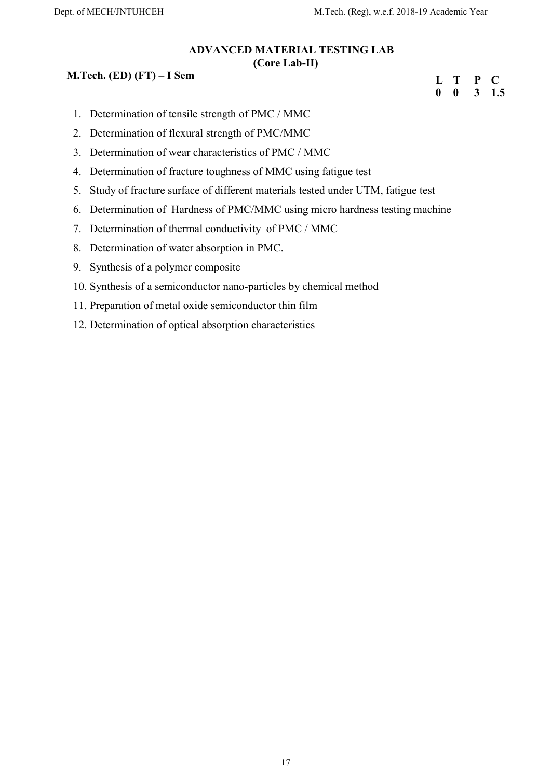#### ADVANCED MATERIAL TESTING LAB (Core Lab-II)

## M.Tech. (ED) (FT) – I Sem

| П,          | T            | P | $\blacksquare$ |
|-------------|--------------|---|----------------|
| $\mathbf 0$ | $\mathbf{0}$ | 3 | 1.5            |

- 1. Determination of tensile strength of PMC / MMC
- 2. Determination of flexural strength of PMC/MMC
- 3. Determination of wear characteristics of PMC / MMC
- 4. Determination of fracture toughness of MMC using fatigue test
- 5. Study of fracture surface of different materials tested under UTM, fatigue test
- 6. Determination of Hardness of PMC/MMC using micro hardness testing machine
- 7. Determination of thermal conductivity of PMC / MMC
- 8. Determination of water absorption in PMC.
- 9. Synthesis of a polymer composite
- 10. Synthesis of a semiconductor nano-particles by chemical method
- 11. Preparation of metal oxide semiconductor thin film
- 12. Determination of optical absorption characteristics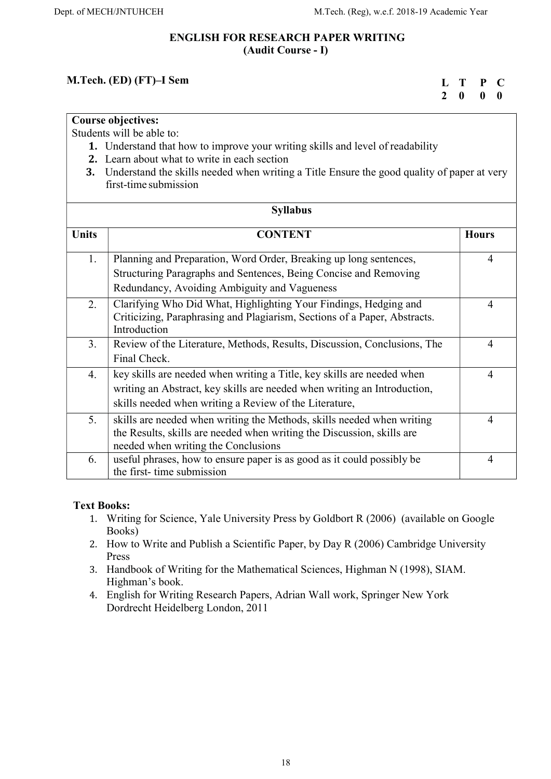## ENGLISH FOR RESEARCH PAPER WRITING (Audit Course - I)

# M.Tech. (ED) (FT)–I Sem

| L T |              | $\mathbf{P}$              | $\mathbf C$ |
|-----|--------------|---------------------------|-------------|
| 2   | $\mathbf{0}$ | $\mathbf{0}$ $\mathbf{0}$ |             |

## Course objectives:

Students will be able to:

- 1. Understand that how to improve your writing skills and level of readability
- 2. Learn about what to write in each section
- 3. Understand the skills needed when writing a Title Ensure the good quality of paper at very first-time submission

|              | <b>Syllabus</b>                                                                                                                                                                                              |                |
|--------------|--------------------------------------------------------------------------------------------------------------------------------------------------------------------------------------------------------------|----------------|
| <b>Units</b> | <b>CONTENT</b>                                                                                                                                                                                               | <b>Hours</b>   |
| 1.           | Planning and Preparation, Word Order, Breaking up long sentences,<br>Structuring Paragraphs and Sentences, Being Concise and Removing<br>Redundancy, Avoiding Ambiguity and Vagueness                        | 4              |
| 2.           | Clarifying Who Did What, Highlighting Your Findings, Hedging and<br>Criticizing, Paraphrasing and Plagiarism, Sections of a Paper, Abstracts.<br>Introduction                                                | 4              |
| 3.           | Review of the Literature, Methods, Results, Discussion, Conclusions, The<br>Final Check.                                                                                                                     | $\overline{4}$ |
| 4.           | key skills are needed when writing a Title, key skills are needed when<br>writing an Abstract, key skills are needed when writing an Introduction,<br>skills needed when writing a Review of the Literature, | $\overline{4}$ |
| 5.           | skills are needed when writing the Methods, skills needed when writing<br>the Results, skills are needed when writing the Discussion, skills are<br>needed when writing the Conclusions                      | $\overline{4}$ |
| 6.           | useful phrases, how to ensure paper is as good as it could possibly be<br>the first-time submission                                                                                                          | 4              |

# Text Books:

- 1. Writing for Science, Yale University Press by Goldbort R (2006) (available on Google Books)
- 2. How to Write and Publish a Scientific Paper, by Day R (2006) Cambridge University Press
- 3. Handbook of Writing for the Mathematical Sciences, Highman N (1998), SIAM. Highman's book.
- 4. English for Writing Research Papers, Adrian Wall work, Springer New York Dordrecht Heidelberg London, 2011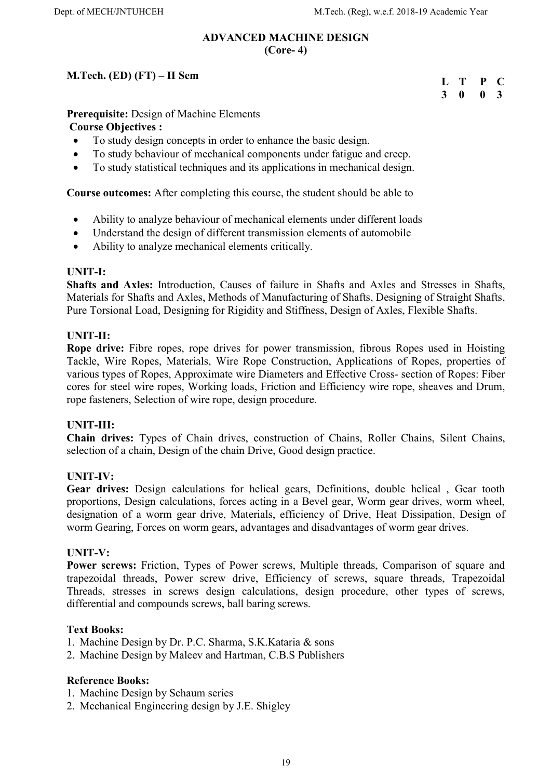#### ADVANCED MACHINE DESIGN (Core- 4)

# M.Tech. (ED) (FT) – II Sem

| L | Т | P        | - 00         |
|---|---|----------|--------------|
| 3 | 0 | $\bf{0}$ | $\mathbf{3}$ |

# Prerequisite: Design of Machine Elements

# Course Objectives :

- To study design concepts in order to enhance the basic design.
- To study behaviour of mechanical components under fatigue and creep.
- To study statistical techniques and its applications in mechanical design.

Course outcomes: After completing this course, the student should be able to

- Ability to analyze behaviour of mechanical elements under different loads
- Understand the design of different transmission elements of automobile
- Ability to analyze mechanical elements critically.

#### UNIT-I:

Shafts and Axles: Introduction, Causes of failure in Shafts and Axles and Stresses in Shafts, Materials for Shafts and Axles, Methods of Manufacturing of Shafts, Designing of Straight Shafts, Pure Torsional Load, Designing for Rigidity and Stiffness, Design of Axles, Flexible Shafts.

## UNIT-II:

Rope drive: Fibre ropes, rope drives for power transmission, fibrous Ropes used in Hoisting Tackle, Wire Ropes, Materials, Wire Rope Construction, Applications of Ropes, properties of various types of Ropes, Approximate wire Diameters and Effective Cross- section of Ropes: Fiber cores for steel wire ropes, Working loads, Friction and Efficiency wire rope, sheaves and Drum, rope fasteners, Selection of wire rope, design procedure.

#### UNIT-III:

Chain drives: Types of Chain drives, construction of Chains, Roller Chains, Silent Chains, selection of a chain, Design of the chain Drive, Good design practice.

#### UNIT-IV:

Gear drives: Design calculations for helical gears, Definitions, double helical , Gear tooth proportions, Design calculations, forces acting in a Bevel gear, Worm gear drives, worm wheel, designation of a worm gear drive, Materials, efficiency of Drive, Heat Dissipation, Design of worm Gearing, Forces on worm gears, advantages and disadvantages of worm gear drives.

#### UNIT-V:

Power screws: Friction, Types of Power screws, Multiple threads, Comparison of square and trapezoidal threads, Power screw drive, Efficiency of screws, square threads, Trapezoidal Threads, stresses in screws design calculations, design procedure, other types of screws, differential and compounds screws, ball baring screws.

#### Text Books:

- 1. Machine Design by Dr. P.C. Sharma, S.K.Kataria & sons
- 2. Machine Design by Maleev and Hartman, C.B.S Publishers

- 1. Machine Design by Schaum series
- 2. Mechanical Engineering design by J.E. Shigley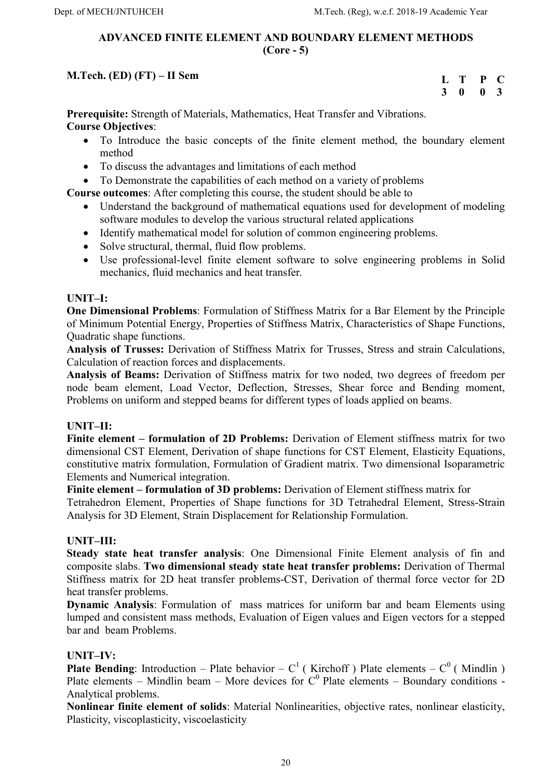## ADVANCED FINITE ELEMENT AND BOUNDARY ELEMENT METHODS (Core - 5)

# M.Tech. (ED) (FT) – II Sem

| $\mathbf{L}$ | Т            | P            | $\bullet$ |
|--------------|--------------|--------------|-----------|
| 3            | $\mathbf{0}$ | $\mathbf{0}$ | - 3       |

Prerequisite: Strength of Materials, Mathematics, Heat Transfer and Vibrations. Course Objectives:

- To Introduce the basic concepts of the finite element method, the boundary element method
- To discuss the advantages and limitations of each method
- To Demonstrate the capabilities of each method on a variety of problems

Course outcomes: After completing this course, the student should be able to

- Understand the background of mathematical equations used for development of modeling software modules to develop the various structural related applications
- Identify mathematical model for solution of common engineering problems.
- Solve structural, thermal, fluid flow problems.
- Use professional-level finite element software to solve engineering problems in Solid mechanics, fluid mechanics and heat transfer.

# UNIT–I:

One Dimensional Problems: Formulation of Stiffness Matrix for a Bar Element by the Principle of Minimum Potential Energy, Properties of Stiffness Matrix, Characteristics of Shape Functions, Quadratic shape functions.

Analysis of Trusses: Derivation of Stiffness Matrix for Trusses, Stress and strain Calculations, Calculation of reaction forces and displacements.

Analysis of Beams: Derivation of Stiffness matrix for two noded, two degrees of freedom per node beam element, Load Vector, Deflection, Stresses, Shear force and Bending moment, Problems on uniform and stepped beams for different types of loads applied on beams.

# UNIT–II:

Finite element – formulation of 2D Problems: Derivation of Element stiffness matrix for two dimensional CST Element, Derivation of shape functions for CST Element, Elasticity Equations, constitutive matrix formulation, Formulation of Gradient matrix. Two dimensional Isoparametric Elements and Numerical integration.

Finite element – formulation of 3D problems: Derivation of Element stiffness matrix for

Tetrahedron Element, Properties of Shape functions for 3D Tetrahedral Element, Stress-Strain Analysis for 3D Element, Strain Displacement for Relationship Formulation.

# UNIT–III:

Steady state heat transfer analysis: One Dimensional Finite Element analysis of fin and composite slabs. Two dimensional steady state heat transfer problems: Derivation of Thermal Stiffness matrix for 2D heat transfer problems-CST, Derivation of thermal force vector for 2D heat transfer problems.

Dynamic Analysis: Formulation of mass matrices for uniform bar and beam Elements using lumped and consistent mass methods, Evaluation of Eigen values and Eigen vectors for a stepped bar and beam Problems.

# UNIT–IV:

Plate Bending: Introduction – Plate behavior –  $C^1$  (Kirchoff ) Plate elements –  $C^0$  (Mindlin) Plate elements – Mindlin beam – More devices for  $C^0$  Plate elements – Boundary conditions -Analytical problems.

Nonlinear finite element of solids: Material Nonlinearities, objective rates, nonlinear elasticity, Plasticity, viscoplasticity, viscoelasticity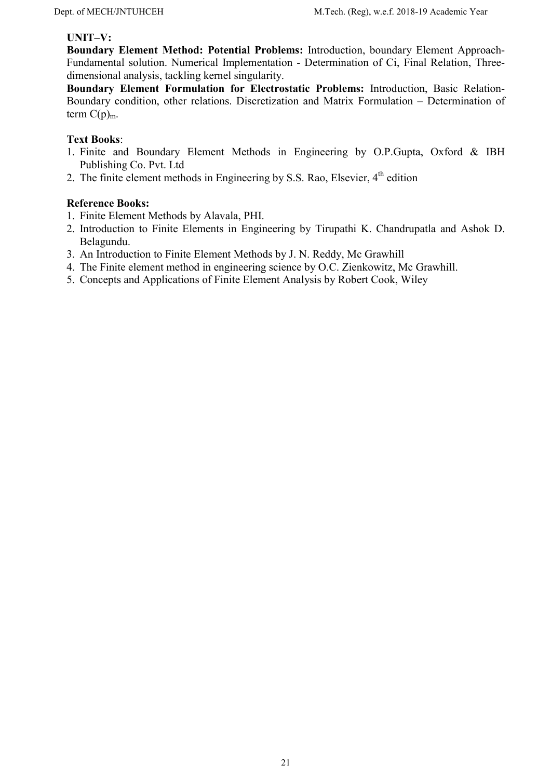#### UNIT–V:

Boundary Element Method: Potential Problems: Introduction, boundary Element Approach-Fundamental solution. Numerical Implementation - Determination of Ci, Final Relation, Threedimensional analysis, tackling kernel singularity.

Boundary Element Formulation for Electrostatic Problems: Introduction, Basic Relation-Boundary condition, other relations. Discretization and Matrix Formulation – Determination of term  $C(p)_{m}$ .

#### Text Books:

- 1. Finite and Boundary Element Methods in Engineering by O.P.Gupta, Oxford & IBH Publishing Co. Pvt. Ltd
- 2. The finite element methods in Engineering by S.S. Rao, Elsevier,  $4<sup>th</sup>$  edition

- 1. Finite Element Methods by Alavala, PHI.
- 2. Introduction to Finite Elements in Engineering by Tirupathi K. Chandrupatla and Ashok D. Belagundu.
- 3. An Introduction to Finite Element Methods by J. N. Reddy, Mc Grawhill
- 4. The Finite element method in engineering science by O.C. Zienkowitz, Mc Grawhill.
- 5. Concepts and Applications of Finite Element Analysis by Robert Cook, Wiley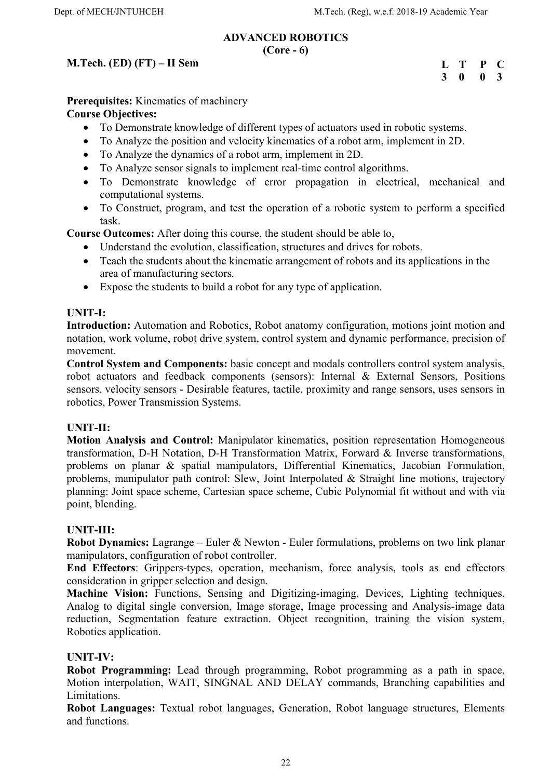## ADVANCED ROBOTICS

#### $(Core - 6)$

## M.Tech. (ED) (FT) – II Sem

L T P C 3 0 0 3

Prerequisites: Kinematics of machinery Course Objectives:

- To Demonstrate knowledge of different types of actuators used in robotic systems.
- To Analyze the position and velocity kinematics of a robot arm, implement in 2D.
- To Analyze the dynamics of a robot arm, implement in 2D.
- To Analyze sensor signals to implement real-time control algorithms.
- To Demonstrate knowledge of error propagation in electrical, mechanical and computational systems.
- To Construct, program, and test the operation of a robotic system to perform a specified task.

Course Outcomes: After doing this course, the student should be able to,

- Understand the evolution, classification, structures and drives for robots.
- Teach the students about the kinematic arrangement of robots and its applications in the area of manufacturing sectors.
- Expose the students to build a robot for any type of application.

#### UNIT-I:

Introduction: Automation and Robotics, Robot anatomy configuration, motions joint motion and notation, work volume, robot drive system, control system and dynamic performance, precision of movement.

Control System and Components: basic concept and modals controllers control system analysis, robot actuators and feedback components (sensors): Internal & External Sensors, Positions sensors, velocity sensors - Desirable features, tactile, proximity and range sensors, uses sensors in robotics, Power Transmission Systems.

#### UNIT-II:

Motion Analysis and Control: Manipulator kinematics, position representation Homogeneous transformation, D-H Notation, D-H Transformation Matrix, Forward & Inverse transformations, problems on planar & spatial manipulators, Differential Kinematics, Jacobian Formulation, problems, manipulator path control: Slew, Joint Interpolated & Straight line motions, trajectory planning: Joint space scheme, Cartesian space scheme, Cubic Polynomial fit without and with via point, blending.

#### UNIT-III:

Robot Dynamics: Lagrange – Euler & Newton - Euler formulations, problems on two link planar manipulators, configuration of robot controller.

End Effectors: Grippers-types, operation, mechanism, force analysis, tools as end effectors consideration in gripper selection and design.

Machine Vision: Functions, Sensing and Digitizing-imaging, Devices, Lighting techniques, Analog to digital single conversion, Image storage, Image processing and Analysis-image data reduction, Segmentation feature extraction. Object recognition, training the vision system, Robotics application.

#### UNIT-IV:

Robot Programming: Lead through programming, Robot programming as a path in space, Motion interpolation, WAIT, SINGNAL AND DELAY commands, Branching capabilities and Limitations.

Robot Languages: Textual robot languages, Generation, Robot language structures, Elements and functions.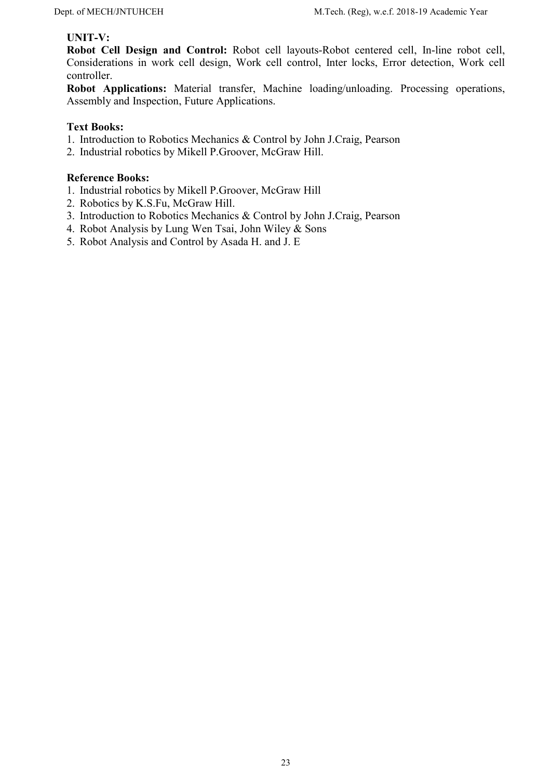#### UNIT-V:

Robot Cell Design and Control: Robot cell layouts-Robot centered cell, In-line robot cell, Considerations in work cell design, Work cell control, Inter locks, Error detection, Work cell controller.

Robot Applications: Material transfer, Machine loading/unloading. Processing operations, Assembly and Inspection, Future Applications.

#### Text Books:

- 1. Introduction to Robotics Mechanics & Control by John J.Craig, Pearson
- 2. Industrial robotics by Mikell P.Groover, McGraw Hill.

- 1. Industrial robotics by Mikell P.Groover, McGraw Hill
- 2. Robotics by K.S.Fu, McGraw Hill.
- 3. Introduction to Robotics Mechanics & Control by John J.Craig, Pearson
- 4. Robot Analysis by Lung Wen Tsai, John Wiley & Sons
- 5. Robot Analysis and Control by Asada H. and J. E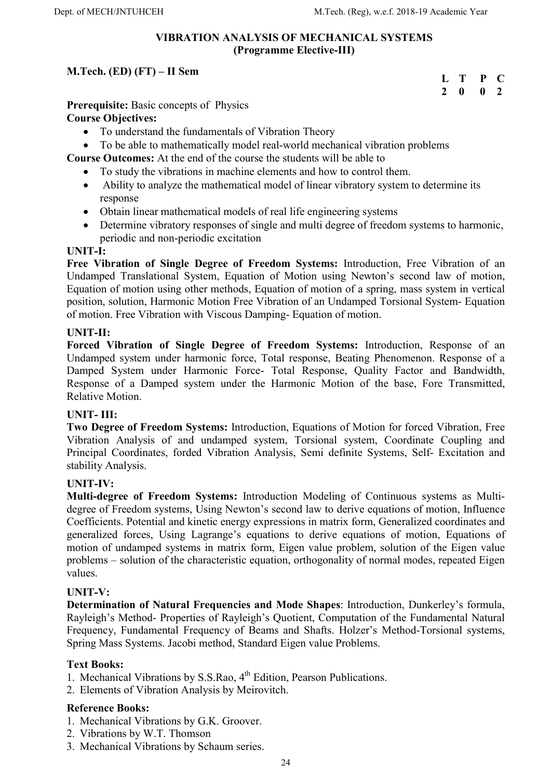#### VIBRATION ANALYSIS OF MECHANICAL SYSTEMS (Programme Elective-III)

# M.Tech. (ED) (FT) – II Sem

| П,           | T | P | O   |
|--------------|---|---|-----|
| <sup>2</sup> | o | 0 | - 2 |

Prerequisite: Basic concepts of Physics

# Course Objectives:

- To understand the fundamentals of Vibration Theory
- To be able to mathematically model real-world mechanical vibration problems

Course Outcomes: At the end of the course the students will be able to

- To study the vibrations in machine elements and how to control them.
- Ability to analyze the mathematical model of linear vibratory system to determine its response
- Obtain linear mathematical models of real life engineering systems
- Determine vibratory responses of single and multi degree of freedom systems to harmonic, periodic and non-periodic excitation

#### UNIT-I:

Free Vibration of Single Degree of Freedom Systems: Introduction, Free Vibration of an Undamped Translational System, Equation of Motion using Newton's second law of motion, Equation of motion using other methods, Equation of motion of a spring, mass system in vertical position, solution, Harmonic Motion Free Vibration of an Undamped Torsional System- Equation of motion. Free Vibration with Viscous Damping- Equation of motion.

## UNIT-II:

Forced Vibration of Single Degree of Freedom Systems: Introduction, Response of an Undamped system under harmonic force, Total response, Beating Phenomenon. Response of a Damped System under Harmonic Force- Total Response, Quality Factor and Bandwidth, Response of a Damped system under the Harmonic Motion of the base, Fore Transmitted, Relative Motion.

# UNIT- III:

Two Degree of Freedom Systems: Introduction, Equations of Motion for forced Vibration, Free Vibration Analysis of and undamped system, Torsional system, Coordinate Coupling and Principal Coordinates, forded Vibration Analysis, Semi definite Systems, Self- Excitation and stability Analysis.

# UNIT-IV:

Multi-degree of Freedom Systems: Introduction Modeling of Continuous systems as Multidegree of Freedom systems, Using Newton's second law to derive equations of motion, Influence Coefficients. Potential and kinetic energy expressions in matrix form, Generalized coordinates and generalized forces, Using Lagrange's equations to derive equations of motion, Equations of motion of undamped systems in matrix form, Eigen value problem, solution of the Eigen value problems – solution of the characteristic equation, orthogonality of normal modes, repeated Eigen values.

#### UNIT-V:

Determination of Natural Frequencies and Mode Shapes: Introduction, Dunkerley's formula, Rayleigh's Method- Properties of Rayleigh's Quotient, Computation of the Fundamental Natural Frequency, Fundamental Frequency of Beams and Shafts. Holzer's Method-Torsional systems, Spring Mass Systems. Jacobi method, Standard Eigen value Problems.

#### Text Books:

- 1. Mechanical Vibrations by S.S.Rao, 4<sup>th</sup> Edition, Pearson Publications.
- 2. Elements of Vibration Analysis by Meirovitch.

- 1. Mechanical Vibrations by G.K. Groover.
- 2. Vibrations by W.T. Thomson
- 3. Mechanical Vibrations by Schaum series.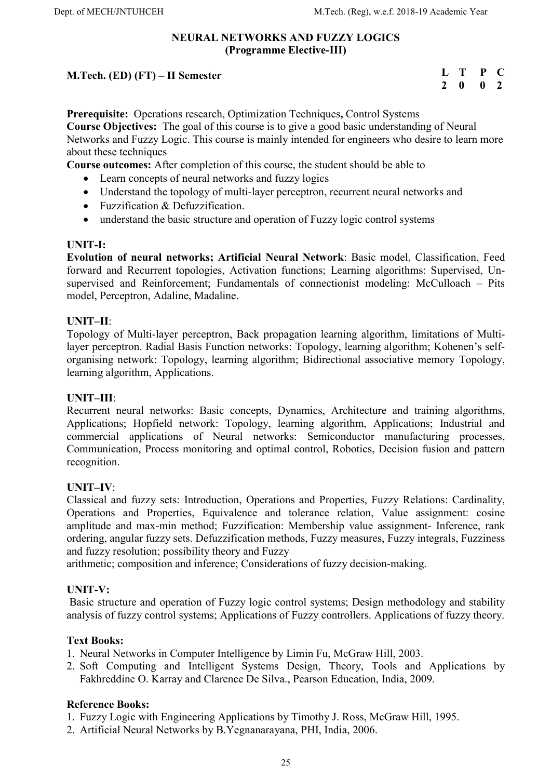## NEURAL NETWORKS AND FUZZY LOGICS (Programme Elective-III)

## M.Tech. (ED) (FT) – II Semester

| $\mathbf{L}$  | Т | P           | C              |
|---------------|---|-------------|----------------|
| $\mathcal{L}$ | 0 | $\mathbf 0$ | $\overline{2}$ |

Prerequisite: Operations research, Optimization Techniques, Control Systems Course Objectives: The goal of this course is to give a good basic understanding of Neural Networks and Fuzzy Logic. This course is mainly intended for engineers who desire to learn more about these techniques

Course outcomes: After completion of this course, the student should be able to

- Learn concepts of neural networks and fuzzy logics
- Understand the topology of multi-layer perceptron, recurrent neural networks and
- Fuzzification & Defuzzification.
- understand the basic structure and operation of Fuzzy logic control systems

#### UNIT-I:

Evolution of neural networks; Artificial Neural Network: Basic model, Classification, Feed forward and Recurrent topologies, Activation functions; Learning algorithms: Supervised, Unsupervised and Reinforcement; Fundamentals of connectionist modeling: McCulloach – Pits model, Perceptron, Adaline, Madaline.

## UNIT–II:

Topology of Multi-layer perceptron, Back propagation learning algorithm, limitations of Multilayer perceptron. Radial Basis Function networks: Topology, learning algorithm; Kohenen's selforganising network: Topology, learning algorithm; Bidirectional associative memory Topology, learning algorithm, Applications.

#### UNIT–III:

Recurrent neural networks: Basic concepts, Dynamics, Architecture and training algorithms, Applications; Hopfield network: Topology, learning algorithm, Applications; Industrial and commercial applications of Neural networks: Semiconductor manufacturing processes, Communication, Process monitoring and optimal control, Robotics, Decision fusion and pattern recognition.

#### UNIT–IV:

Classical and fuzzy sets: Introduction, Operations and Properties, Fuzzy Relations: Cardinality, Operations and Properties, Equivalence and tolerance relation, Value assignment: cosine amplitude and max-min method; Fuzzification: Membership value assignment- Inference, rank ordering, angular fuzzy sets. Defuzzification methods, Fuzzy measures, Fuzzy integrals, Fuzziness and fuzzy resolution; possibility theory and Fuzzy

arithmetic; composition and inference; Considerations of fuzzy decision-making.

#### UNIT-V:

 Basic structure and operation of Fuzzy logic control systems; Design methodology and stability analysis of fuzzy control systems; Applications of Fuzzy controllers. Applications of fuzzy theory.

#### Text Books:

- 1. Neural Networks in Computer Intelligence by Limin Fu, McGraw Hill, 2003.
- 2. Soft Computing and Intelligent Systems Design, Theory, Tools and Applications by Fakhreddine O. Karray and Clarence De Silva., Pearson Education, India, 2009.

#### Reference Books:

1. Fuzzy Logic with Engineering Applications by Timothy J. Ross, McGraw Hill, 1995.

2. Artificial Neural Networks by B.Yegnanarayana, PHI, India, 2006.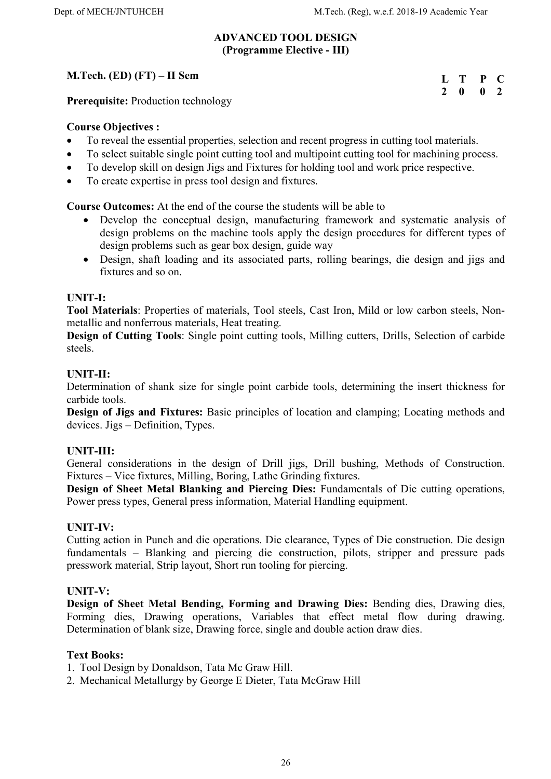#### ADVANCED TOOL DESIGN (Programme Elective - III)

# M.Tech. (ED) (FT) – II Sem

L T P C 2 0 0 2

Prerequisite: Production technology

## Course Objectives :

- To reveal the essential properties, selection and recent progress in cutting tool materials.
- To select suitable single point cutting tool and multipoint cutting tool for machining process.
- To develop skill on design Jigs and Fixtures for holding tool and work price respective.
- To create expertise in press tool design and fixtures.

Course Outcomes: At the end of the course the students will be able to

- Develop the conceptual design, manufacturing framework and systematic analysis of design problems on the machine tools apply the design procedures for different types of design problems such as gear box design, guide way
- Design, shaft loading and its associated parts, rolling bearings, die design and jigs and fixtures and so on.

## UNIT-I:

Tool Materials: Properties of materials, Tool steels, Cast Iron, Mild or low carbon steels, Nonmetallic and nonferrous materials, Heat treating.

Design of Cutting Tools: Single point cutting tools, Milling cutters, Drills, Selection of carbide steels.

## UNIT-II:

Determination of shank size for single point carbide tools, determining the insert thickness for carbide tools.

Design of Jigs and Fixtures: Basic principles of location and clamping; Locating methods and devices. Jigs – Definition, Types.

# UNIT-III:

General considerations in the design of Drill jigs, Drill bushing, Methods of Construction. Fixtures – Vice fixtures, Milling, Boring, Lathe Grinding fixtures.

Design of Sheet Metal Blanking and Piercing Dies: Fundamentals of Die cutting operations, Power press types, General press information, Material Handling equipment.

#### UNIT-IV:

Cutting action in Punch and die operations. Die clearance, Types of Die construction. Die design fundamentals – Blanking and piercing die construction, pilots, stripper and pressure pads presswork material, Strip layout, Short run tooling for piercing.

#### UNIT-V:

Design of Sheet Metal Bending, Forming and Drawing Dies: Bending dies, Drawing dies, Forming dies, Drawing operations, Variables that effect metal flow during drawing. Determination of blank size, Drawing force, single and double action draw dies.

#### Text Books:

1. Tool Design by Donaldson, Tata Mc Graw Hill.

2. Mechanical Metallurgy by George E Dieter, Tata McGraw Hill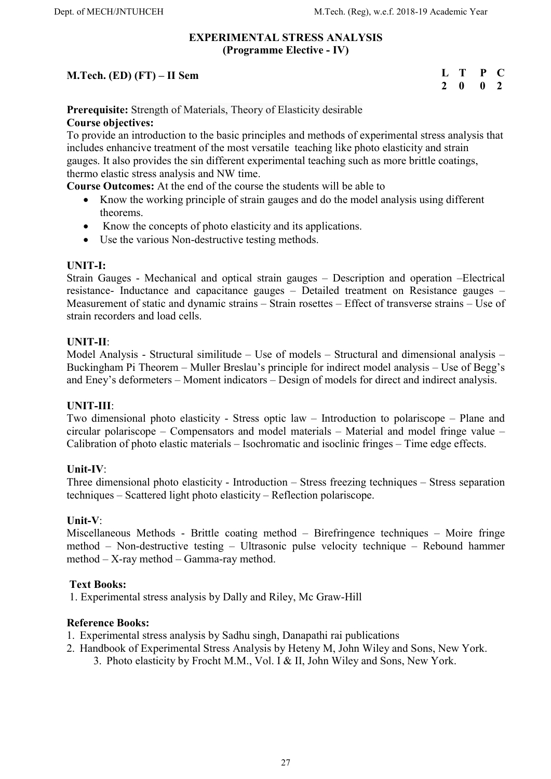#### EXPERIMENTAL STRESS ANALYSIS (Programme Elective - IV)

|                              | L T P C                     |  |
|------------------------------|-----------------------------|--|
| M.Tech. (ED) $(FT)$ – II Sem |                             |  |
|                              | $2 \quad 0 \quad 0 \quad 2$ |  |

Prerequisite: Strength of Materials, Theory of Elasticity desirable Course objectives:

To provide an introduction to the basic principles and methods of experimental stress analysis that includes enhancive treatment of the most versatile teaching like photo elasticity and strain gauges. It also provides the sin different experimental teaching such as more brittle coatings, thermo elastic stress analysis and NW time.

Course Outcomes: At the end of the course the students will be able to

- Know the working principle of strain gauges and do the model analysis using different theorems.
- Know the concepts of photo elasticity and its applications.
- Use the various Non-destructive testing methods.

## UNIT-I:

Strain Gauges - Mechanical and optical strain gauges – Description and operation –Electrical resistance- Inductance and capacitance gauges – Detailed treatment on Resistance gauges – Measurement of static and dynamic strains – Strain rosettes – Effect of transverse strains – Use of strain recorders and load cells.

## UNIT-II:

Model Analysis - Structural similitude – Use of models – Structural and dimensional analysis – Buckingham Pi Theorem – Muller Breslau's principle for indirect model analysis – Use of Begg's and Eney's deformeters – Moment indicators – Design of models for direct and indirect analysis.

#### UNIT-III:

Two dimensional photo elasticity - Stress optic law – Introduction to polariscope – Plane and circular polariscope – Compensators and model materials – Material and model fringe value – Calibration of photo elastic materials – Isochromatic and isoclinic fringes – Time edge effects.

#### Unit-IV:

Three dimensional photo elasticity - Introduction – Stress freezing techniques – Stress separation techniques – Scattered light photo elasticity – Reflection polariscope.

#### Unit-V:

Miscellaneous Methods - Brittle coating method – Birefringence techniques – Moire fringe method – Non-destructive testing – Ultrasonic pulse velocity technique – Rebound hammer method – X-ray method – Gamma-ray method.

#### Text Books:

1. Experimental stress analysis by Dally and Riley, Mc Graw-Hill

- 1. Experimental stress analysis by Sadhu singh, Danapathi rai publications
- 2. Handbook of Experimental Stress Analysis by Heteny M, John Wiley and Sons, New York. 3. Photo elasticity by Frocht M.M., Vol. I & II, John Wiley and Sons, New York.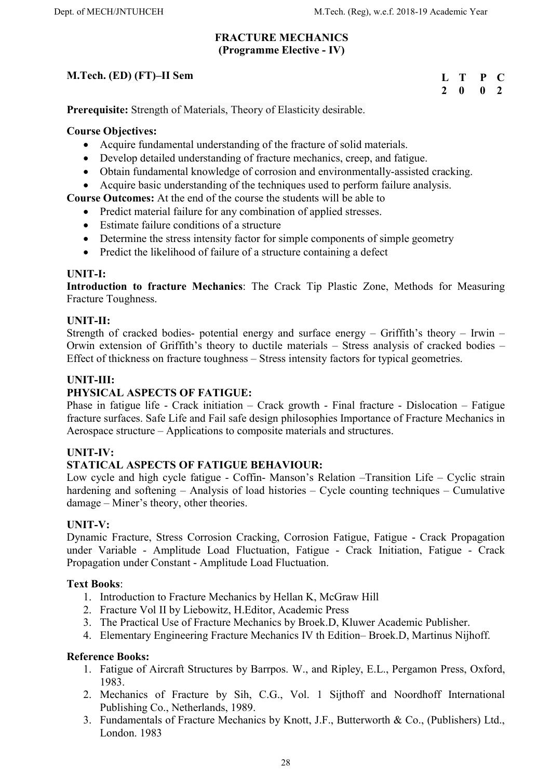#### FRACTURE MECHANICS (Programme Elective - IV)

# M.Tech. (ED) (FT)–II Sem

| П,            | T | P | $\blacksquare$ |
|---------------|---|---|----------------|
| $\mathcal{L}$ | o | 0 | - 2            |

Prerequisite: Strength of Materials, Theory of Elasticity desirable.

#### Course Objectives:

- Acquire fundamental understanding of the fracture of solid materials.
- Develop detailed understanding of fracture mechanics, creep, and fatigue.
- Obtain fundamental knowledge of corrosion and environmentally-assisted cracking.
- Acquire basic understanding of the techniques used to perform failure analysis.

## Course Outcomes: At the end of the course the students will be able to

- Predict material failure for any combination of applied stresses.
- Estimate failure conditions of a structure
- Determine the stress intensity factor for simple components of simple geometry
- Predict the likelihood of failure of a structure containing a defect

#### UNIT-I:

Introduction to fracture Mechanics: The Crack Tip Plastic Zone, Methods for Measuring Fracture Toughness.

## UNIT-II:

Strength of cracked bodies- potential energy and surface energy – Griffith's theory – Irwin – Orwin extension of Griffith's theory to ductile materials – Stress analysis of cracked bodies – Effect of thickness on fracture toughness – Stress intensity factors for typical geometries.

## UNIT-III:

## PHYSICAL ASPECTS OF FATIGUE:

Phase in fatigue life - Crack initiation – Crack growth - Final fracture - Dislocation – Fatigue fracture surfaces. Safe Life and Fail safe design philosophies Importance of Fracture Mechanics in Aerospace structure – Applications to composite materials and structures.

#### UNIT-IV:

#### STATICAL ASPECTS OF FATIGUE BEHAVIOUR:

Low cycle and high cycle fatigue - Coffin- Manson's Relation –Transition Life – Cyclic strain hardening and softening – Analysis of load histories – Cycle counting techniques – Cumulative damage – Miner's theory, other theories.

#### UNIT-V:

Dynamic Fracture, Stress Corrosion Cracking, Corrosion Fatigue, Fatigue - Crack Propagation under Variable - Amplitude Load Fluctuation, Fatigue - Crack Initiation, Fatigue - Crack Propagation under Constant - Amplitude Load Fluctuation.

#### Text Books:

- 1. Introduction to Fracture Mechanics by Hellan K, McGraw Hill
- 2. Fracture Vol II by Liebowitz, H.Editor, Academic Press
- 3. The Practical Use of Fracture Mechanics by Broek.D, Kluwer Academic Publisher.
- 4. Elementary Engineering Fracture Mechanics IV th Edition– Broek.D, Martinus Nijhoff.

- 1. Fatigue of Aircraft Structures by Barrpos. W., and Ripley, E.L., Pergamon Press, Oxford, 1983.
- 2. Mechanics of Fracture by Sih, C.G., Vol. 1 Sijthoff and Noordhoff International Publishing Co., Netherlands, 1989.
- 3. Fundamentals of Fracture Mechanics by Knott, J.F., Butterworth & Co., (Publishers) Ltd., London. 1983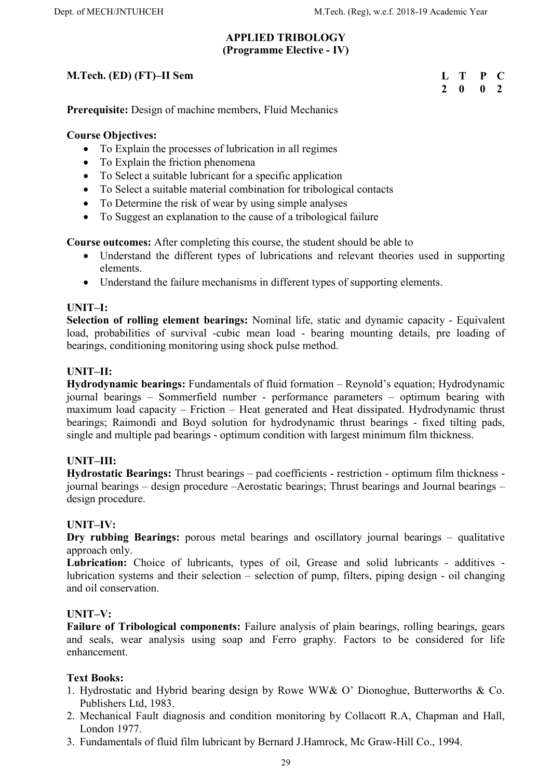#### APPLIED TRIBOLOGY (Programme Elective - IV)

# M.Tech. (ED) (FT)–II Sem

| L             | T | P | C             |
|---------------|---|---|---------------|
| $\mathcal{L}$ | 0 | 0 | $\mathcal{L}$ |

Prerequisite: Design of machine members, Fluid Mechanics

#### Course Objectives:

- To Explain the processes of lubrication in all regimes
- To Explain the friction phenomena
- To Select a suitable lubricant for a specific application
- To Select a suitable material combination for tribological contacts
- To Determine the risk of wear by using simple analyses
- To Suggest an explanation to the cause of a tribological failure

Course outcomes: After completing this course, the student should be able to

- Understand the different types of lubrications and relevant theories used in supporting elements.
- Understand the failure mechanisms in different types of supporting elements.

#### UNIT–I:

Selection of rolling element bearings: Nominal life, static and dynamic capacity - Equivalent load, probabilities of survival -cubic mean load - bearing mounting details, pre loading of bearings, conditioning monitoring using shock pulse method.

## UNIT–II:

Hydrodynamic bearings: Fundamentals of fluid formation – Reynold's equation; Hydrodynamic journal bearings – Sommerfield number - performance parameters – optimum bearing with maximum load capacity – Friction – Heat generated and Heat dissipated. Hydrodynamic thrust bearings; Raimondi and Boyd solution for hydrodynamic thrust bearings - fixed tilting pads, single and multiple pad bearings - optimum condition with largest minimum film thickness.

#### UNIT–III:

Hydrostatic Bearings: Thrust bearings – pad coefficients - restriction - optimum film thickness journal bearings – design procedure –Aerostatic bearings; Thrust bearings and Journal bearings – design procedure.

#### UNIT–IV:

Dry rubbing Bearings: porous metal bearings and oscillatory journal bearings – qualitative approach only.

Lubrication: Choice of lubricants, types of oil, Grease and solid lubricants - additives lubrication systems and their selection – selection of pump, filters, piping design - oil changing and oil conservation.

#### UNIT–V:

Failure of Tribological components: Failure analysis of plain bearings, rolling bearings, gears and seals, wear analysis using soap and Ferro graphy. Factors to be considered for life enhancement.

#### Text Books:

- 1. Hydrostatic and Hybrid bearing design by Rowe WW& O' Dionoghue, Butterworths & Co. Publishers Ltd, 1983.
- 2. Mechanical Fault diagnosis and condition monitoring by Collacott R.A, Chapman and Hall, London 1977.
- 3. Fundamentals of fluid film lubricant by Bernard J.Hamrock, Mc Graw-Hill Co., 1994.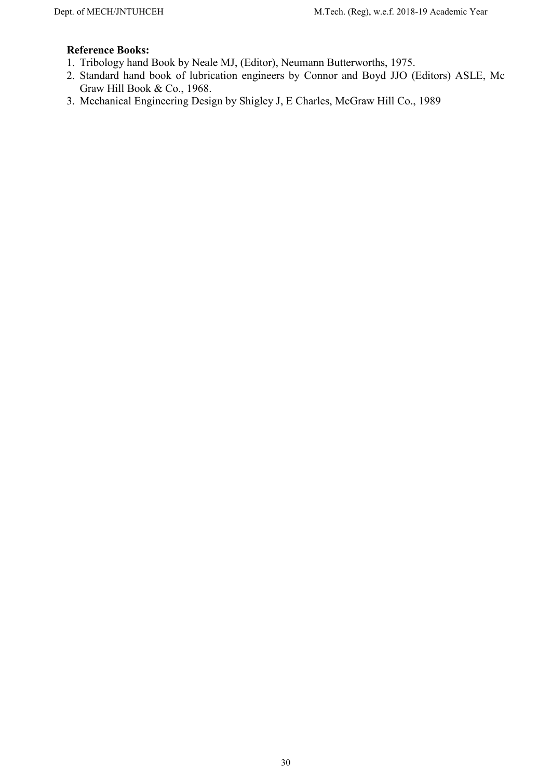- 1. Tribology hand Book by Neale MJ, (Editor), Neumann Butterworths, 1975.
- 2. Standard hand book of lubrication engineers by Connor and Boyd JJO (Editors) ASLE, Mc Graw Hill Book & Co., 1968.
- 3. Mechanical Engineering Design by Shigley J, E Charles, McGraw Hill Co., 1989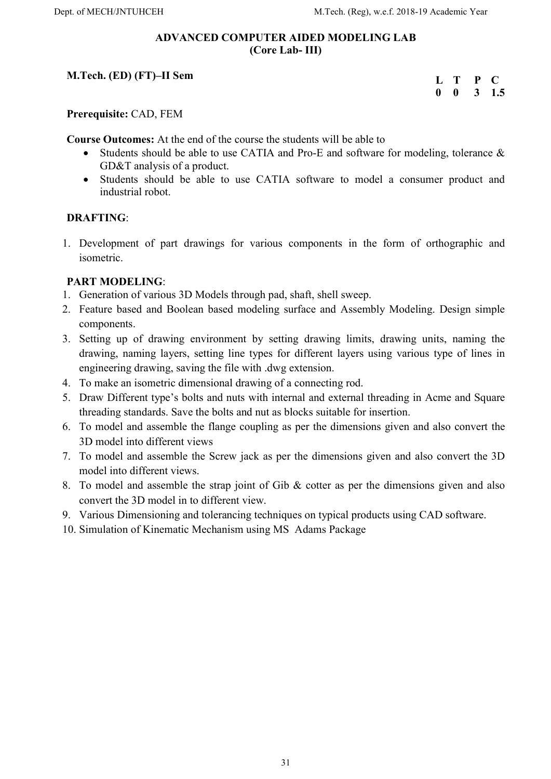#### ADVANCED COMPUTER AIDED MODELING LAB (Core Lab- III)

# M.Tech. (ED) (FT)–II Sem

| Ι. | T | P            | $\blacksquare$ |
|----|---|--------------|----------------|
| 0  | 0 | $\mathbf{3}$ | 1.5            |

Prerequisite: CAD, FEM

Course Outcomes: At the end of the course the students will be able to

- Students should be able to use CATIA and Pro-E and software for modeling, tolerance & GD&T analysis of a product.
- Students should be able to use CATIA software to model a consumer product and industrial robot.

#### DRAFTING:

1. Development of part drawings for various components in the form of orthographic and isometric.

## PART MODELING:

- 1. Generation of various 3D Models through pad, shaft, shell sweep.
- 2. Feature based and Boolean based modeling surface and Assembly Modeling. Design simple components.
- 3. Setting up of drawing environment by setting drawing limits, drawing units, naming the drawing, naming layers, setting line types for different layers using various type of lines in engineering drawing, saving the file with .dwg extension.
- 4. To make an isometric dimensional drawing of a connecting rod.
- 5. Draw Different type's bolts and nuts with internal and external threading in Acme and Square threading standards. Save the bolts and nut as blocks suitable for insertion.
- 6. To model and assemble the flange coupling as per the dimensions given and also convert the 3D model into different views
- 7. To model and assemble the Screw jack as per the dimensions given and also convert the 3D model into different views.
- 8. To model and assemble the strap joint of Gib  $&$  cotter as per the dimensions given and also convert the 3D model in to different view.
- 9. Various Dimensioning and tolerancing techniques on typical products using CAD software.
- 10. Simulation of Kinematic Mechanism using MS Adams Package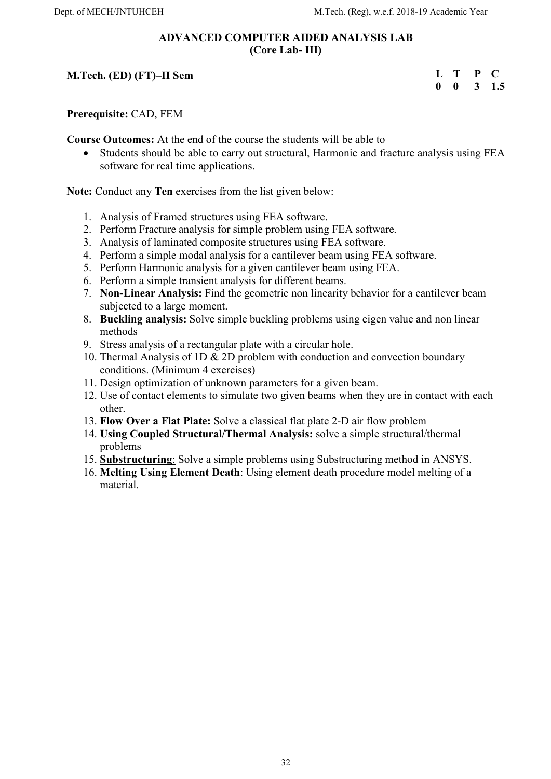#### ADVANCED COMPUTER AIDED ANALYSIS LAB (Core Lab- III)

# M.Tech. (ED) (FT)–II Sem

| L           | Т | P |     |
|-------------|---|---|-----|
| $\mathbf 0$ | 0 | 3 | 1.5 |

Prerequisite: CAD, FEM

Course Outcomes: At the end of the course the students will be able to

 Students should be able to carry out structural, Harmonic and fracture analysis using FEA software for real time applications.

Note: Conduct any Ten exercises from the list given below:

- 1. Analysis of Framed structures using FEA software.
- 2. Perform Fracture analysis for simple problem using FEA software.
- 3. Analysis of laminated composite structures using FEA software.
- 4. Perform a simple modal analysis for a cantilever beam using FEA software.
- 5. Perform Harmonic analysis for a given cantilever beam using FEA.
- 6. Perform a simple transient analysis for different beams.
- 7. Non-Linear Analysis: Find the geometric non linearity behavior for a cantilever beam subjected to a large moment.
- 8. Buckling analysis: Solve simple buckling problems using eigen value and non linear methods
- 9. Stress analysis of a rectangular plate with a circular hole.
- 10. Thermal Analysis of 1D & 2D problem with conduction and convection boundary conditions. (Minimum 4 exercises)
- 11. Design optimization of unknown parameters for a given beam.
- 12. Use of contact elements to simulate two given beams when they are in contact with each other.
- 13. Flow Over a Flat Plate: Solve a classical flat plate 2-D air flow problem
- 14. Using Coupled Structural/Thermal Analysis: solve a simple structural/thermal problems
- 15. Substructuring: Solve a simple problems using Substructuring method in ANSYS.
- 16. Melting Using Element Death: Using element death procedure model melting of a material.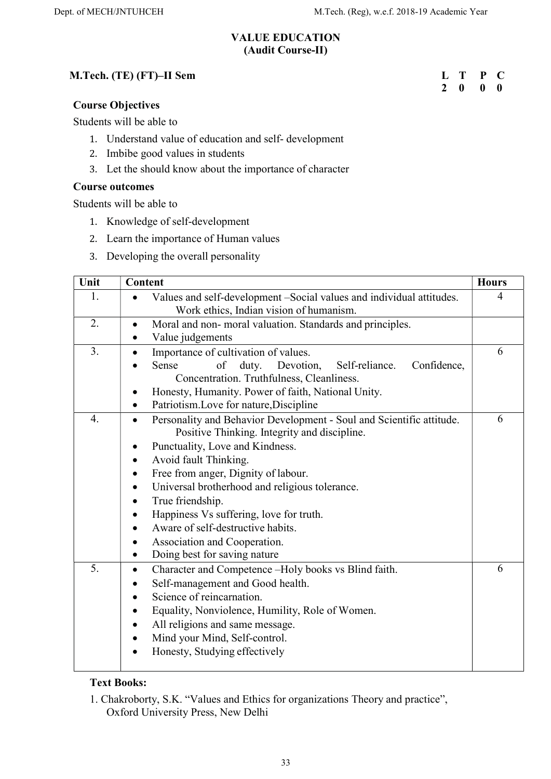## VALUE EDUCATION (Audit Course-II)

## M.Tech. (TE) (FT)–II Sem

# L T P C 2 0 0 0

#### Course Objectives

Students will be able to

- 1. Understand value of education and self- development
- 2. Imbibe good values in students
- 3. Let the should know about the importance of character

## Course outcomes

Students will be able to

- 1. Knowledge of self-development
- 2. Learn the importance of Human values
- 3. Developing the overall personality

| Unit | Content                                                                                                                                                                                                                                                                                                                                                                                                                                                                                                                                                                         | <b>Hours</b> |  |
|------|---------------------------------------------------------------------------------------------------------------------------------------------------------------------------------------------------------------------------------------------------------------------------------------------------------------------------------------------------------------------------------------------------------------------------------------------------------------------------------------------------------------------------------------------------------------------------------|--------------|--|
| 1.   | Values and self-development -Social values and individual attitudes.<br>$\bullet$<br>Work ethics, Indian vision of humanism.                                                                                                                                                                                                                                                                                                                                                                                                                                                    | 4            |  |
| 2.   | Moral and non- moral valuation. Standards and principles.<br>$\bullet$<br>Value judgements<br>$\bullet$                                                                                                                                                                                                                                                                                                                                                                                                                                                                         |              |  |
| 3.   | Importance of cultivation of values.<br>$\bullet$<br>Sense<br>Devotion,<br>Self-reliance.<br>Confidence,<br>of<br>duty.<br>Concentration. Truthfulness, Cleanliness.<br>Honesty, Humanity. Power of faith, National Unity.<br>Patriotism.Love for nature, Discipline                                                                                                                                                                                                                                                                                                            | 6            |  |
| 4.   | Personality and Behavior Development - Soul and Scientific attitude.<br>$\bullet$<br>Positive Thinking. Integrity and discipline.<br>Punctuality, Love and Kindness.<br>$\bullet$<br>Avoid fault Thinking.<br>$\bullet$<br>Free from anger, Dignity of labour.<br>$\bullet$<br>Universal brotherhood and religious tolerance.<br>$\bullet$<br>True friendship.<br>$\bullet$<br>Happiness Vs suffering, love for truth.<br>$\bullet$<br>Aware of self-destructive habits.<br>$\bullet$<br>Association and Cooperation.<br>$\bullet$<br>Doing best for saving nature<br>$\bullet$ | 6            |  |
| 5.   | Character and Competence -Holy books vs Blind faith.<br>$\bullet$<br>Self-management and Good health.<br>٠<br>Science of reincarnation.<br>$\bullet$<br>Equality, Nonviolence, Humility, Role of Women.<br>$\bullet$<br>All religions and same message.<br>$\bullet$<br>Mind your Mind, Self-control.<br>$\bullet$<br>Honesty, Studying effectively                                                                                                                                                                                                                             | 6            |  |

#### Text Books:

1. Chakroborty, S.K. "Values and Ethics for organizations Theory and practice", Oxford University Press, New Delhi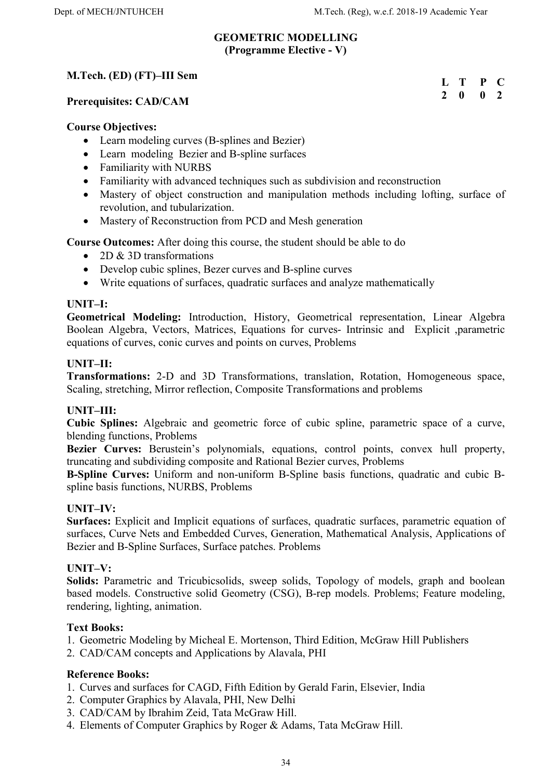L T P C 2 0 0 2

# GEOMETRIC MODELLING (Programme Elective - V)

## M.Tech. (ED) (FT)–III Sem

Prerequisites: CAD/CAM

#### Course Objectives:

- Learn modeling curves (B-splines and Bezier)
- Learn modeling Bezier and B-spline surfaces
- Familiarity with NURBS
- Familiarity with advanced techniques such as subdivision and reconstruction
- Mastery of object construction and manipulation methods including lofting, surface of revolution, and tubularization.
- Mastery of Reconstruction from PCD and Mesh generation

Course Outcomes: After doing this course, the student should be able to do

- 2D & 3D transformations
- Develop cubic splines, Bezer curves and B-spline curves
- Write equations of surfaces, quadratic surfaces and analyze mathematically

## UNIT–I:

Geometrical Modeling: Introduction, History, Geometrical representation, Linear Algebra Boolean Algebra, Vectors, Matrices, Equations for curves- Intrinsic and Explicit ,parametric equations of curves, conic curves and points on curves, Problems

#### UNIT–II:

Transformations: 2-D and 3D Transformations, translation, Rotation, Homogeneous space, Scaling, stretching, Mirror reflection, Composite Transformations and problems

#### UNIT–III:

Cubic Splines: Algebraic and geometric force of cubic spline, parametric space of a curve, blending functions, Problems

Bezier Curves: Berustein's polynomials, equations, control points, convex hull property, truncating and subdividing composite and Rational Bezier curves, Problems

B-Spline Curves: Uniform and non-uniform B-Spline basis functions, quadratic and cubic Bspline basis functions, NURBS, Problems

#### UNIT–IV:

Surfaces: Explicit and Implicit equations of surfaces, quadratic surfaces, parametric equation of surfaces, Curve Nets and Embedded Curves, Generation, Mathematical Analysis, Applications of Bezier and B-Spline Surfaces, Surface patches. Problems

#### UNIT–V:

Solids: Parametric and Tricubicsolids, sweep solids, Topology of models, graph and boolean based models. Constructive solid Geometry (CSG), B-rep models. Problems; Feature modeling, rendering, lighting, animation.

#### Text Books:

1. Geometric Modeling by Micheal E. Mortenson, Third Edition, McGraw Hill Publishers

2. CAD/CAM concepts and Applications by Alavala, PHI

- 1. Curves and surfaces for CAGD, Fifth Edition by Gerald Farin, Elsevier, India
- 2. Computer Graphics by Alavala, PHI, New Delhi
- 3. CAD/CAM by Ibrahim Zeid, Tata McGraw Hill.
- 4. Elements of Computer Graphics by Roger & Adams, Tata McGraw Hill.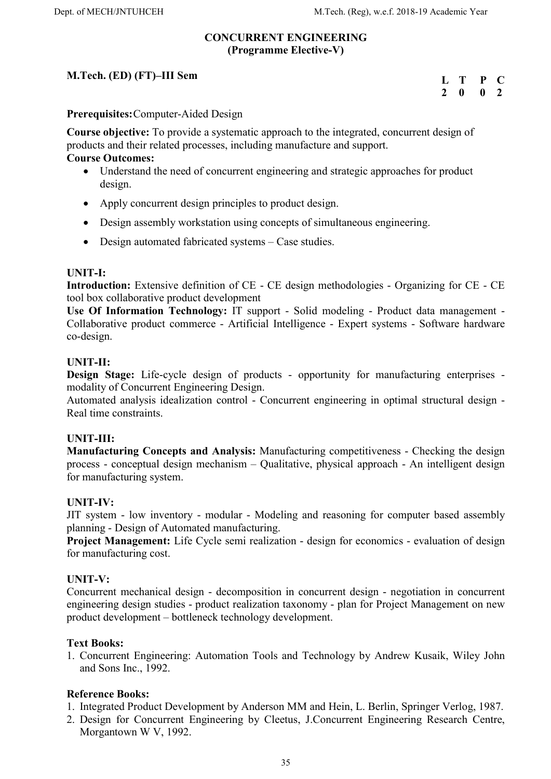#### CONCURRENT ENGINEERING (Programme Elective-V)

# M.Tech. (ED) (FT)–III Sem

| L             | T | P | C  |
|---------------|---|---|----|
| $\mathcal{L}$ | o | 0 | -2 |

Prerequisites: Computer-Aided Design

Course objective: To provide a systematic approach to the integrated, concurrent design of products and their related processes, including manufacture and support.

#### Course Outcomes:

- Understand the need of concurrent engineering and strategic approaches for product design.
- Apply concurrent design principles to product design.
- Design assembly workstation using concepts of simultaneous engineering.
- Design automated fabricated systems Case studies.

#### UNIT-I:

Introduction: Extensive definition of CE - CE design methodologies - Organizing for CE - CE tool box collaborative product development

Use Of Information Technology: IT support - Solid modeling - Product data management - Collaborative product commerce - Artificial Intelligence - Expert systems - Software hardware co-design.

#### UNIT-II:

Design Stage: Life-cycle design of products - opportunity for manufacturing enterprises modality of Concurrent Engineering Design.

Automated analysis idealization control - Concurrent engineering in optimal structural design - Real time constraints.

#### UNIT-III:

Manufacturing Concepts and Analysis: Manufacturing competitiveness - Checking the design process - conceptual design mechanism – Qualitative, physical approach - An intelligent design for manufacturing system.

#### UNIT-IV:

JIT system - low inventory - modular - Modeling and reasoning for computer based assembly planning - Design of Automated manufacturing.

Project Management: Life Cycle semi realization - design for economics - evaluation of design for manufacturing cost.

#### UNIT-V:

Concurrent mechanical design - decomposition in concurrent design - negotiation in concurrent engineering design studies - product realization taxonomy - plan for Project Management on new product development – bottleneck technology development.

#### Text Books:

1. Concurrent Engineering: Automation Tools and Technology by Andrew Kusaik, Wiley John and Sons Inc., 1992.

- 1. Integrated Product Development by Anderson MM and Hein, L. Berlin, Springer Verlog, 1987.
- 2. Design for Concurrent Engineering by Cleetus, J.Concurrent Engineering Research Centre, Morgantown W V, 1992.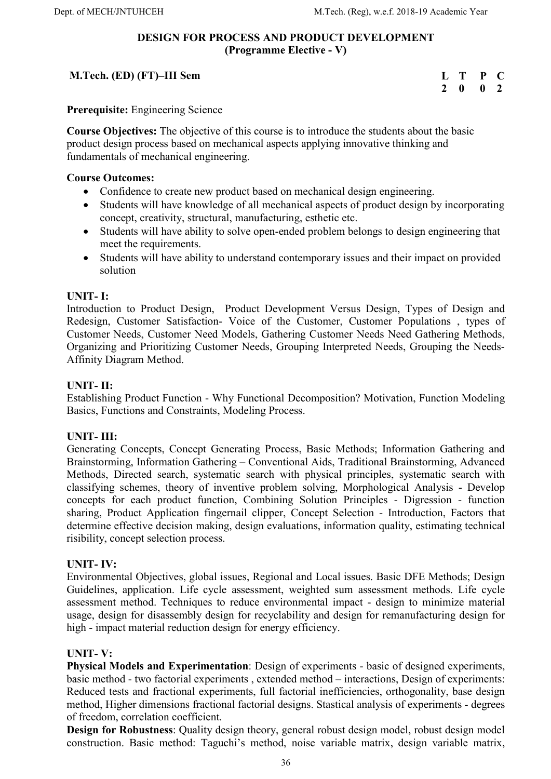#### DESIGN FOR PROCESS AND PRODUCT DEVELOPMENT (Programme Elective - V)

## M.Tech. (ED) (FT)–III Sem

| $\mathbf{L}$  | т | P | C   |
|---------------|---|---|-----|
| $\mathcal{L}$ | 0 | 0 | - 2 |

Prerequisite: Engineering Science

Course Objectives: The objective of this course is to introduce the students about the basic product design process based on mechanical aspects applying innovative thinking and fundamentals of mechanical engineering.

#### Course Outcomes:

- Confidence to create new product based on mechanical design engineering.
- Students will have knowledge of all mechanical aspects of product design by incorporating concept, creativity, structural, manufacturing, esthetic etc.
- Students will have ability to solve open-ended problem belongs to design engineering that meet the requirements.
- Students will have ability to understand contemporary issues and their impact on provided solution

#### UNIT- I:

Introduction to Product Design, Product Development Versus Design, Types of Design and Redesign, Customer Satisfaction- Voice of the Customer, Customer Populations , types of Customer Needs, Customer Need Models, Gathering Customer Needs Need Gathering Methods, Organizing and Prioritizing Customer Needs, Grouping Interpreted Needs, Grouping the Needs-Affinity Diagram Method.

#### UNIT- II:

Establishing Product Function - Why Functional Decomposition? Motivation, Function Modeling Basics, Functions and Constraints, Modeling Process.

#### UNIT- III:

Generating Concepts, Concept Generating Process, Basic Methods; Information Gathering and Brainstorming, Information Gathering – Conventional Aids, Traditional Brainstorming, Advanced Methods, Directed search, systematic search with physical principles, systematic search with classifying schemes, theory of inventive problem solving, Morphological Analysis - Develop concepts for each product function, Combining Solution Principles - Digression - function sharing, Product Application fingernail clipper, Concept Selection - Introduction, Factors that determine effective decision making, design evaluations, information quality, estimating technical risibility, concept selection process.

#### UNIT- IV:

Environmental Objectives, global issues, Regional and Local issues. Basic DFE Methods; Design Guidelines, application. Life cycle assessment, weighted sum assessment methods. Life cycle assessment method. Techniques to reduce environmental impact - design to minimize material usage, design for disassembly design for recyclability and design for remanufacturing design for high - impact material reduction design for energy efficiency.

#### UNIT- V:

Physical Models and Experimentation: Design of experiments - basic of designed experiments, basic method - two factorial experiments , extended method – interactions, Design of experiments: Reduced tests and fractional experiments, full factorial inefficiencies, orthogonality, base design method, Higher dimensions fractional factorial designs. Stastical analysis of experiments - degrees of freedom, correlation coefficient.

Design for Robustness: Quality design theory, general robust design model, robust design model construction. Basic method: Taguchi's method, noise variable matrix, design variable matrix,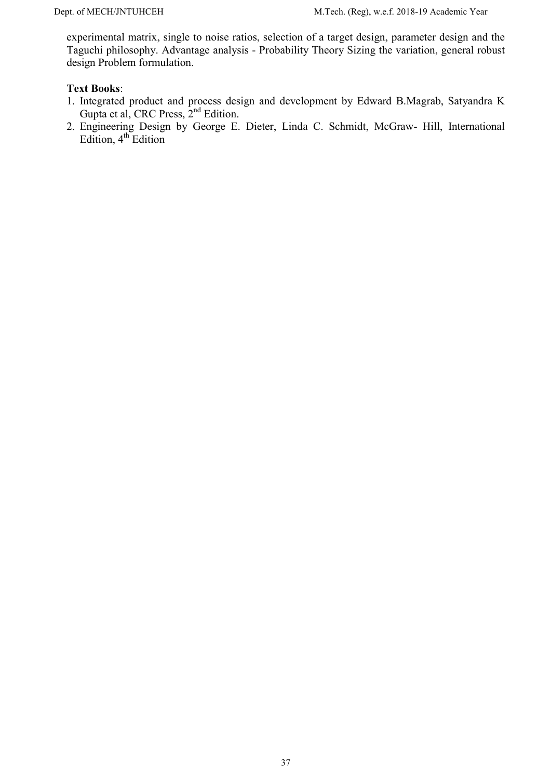experimental matrix, single to noise ratios, selection of a target design, parameter design and the Taguchi philosophy. Advantage analysis - Probability Theory Sizing the variation, general robust design Problem formulation.

## Text Books:

- 1. Integrated product and process design and development by Edward B.Magrab, Satyandra K Gupta et al, CRC Press, 2nd Edition.
- 2. Engineering Design by George E. Dieter, Linda C. Schmidt, McGraw- Hill, International Edition,  $4^{th}$  Edition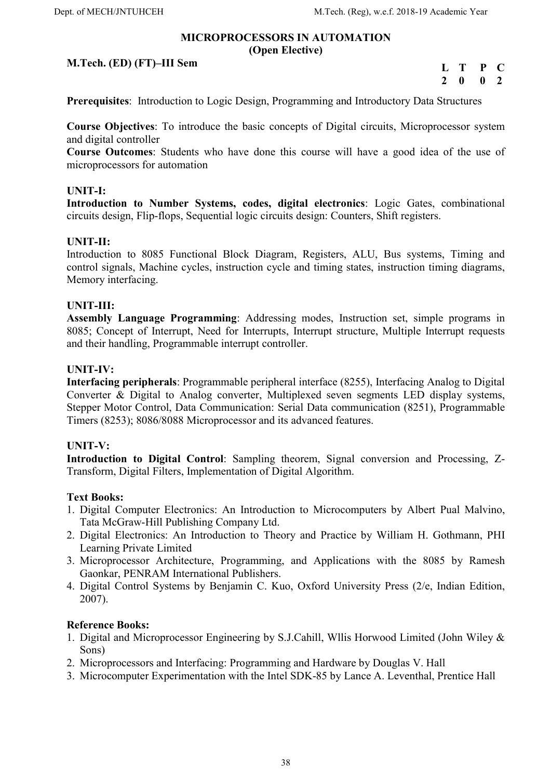#### MICROPROCESSORS IN AUTOMATION (Open Elective)

## M.Tech. (ED) (FT)–III Sem

L T P C 2 0 0 2

Prerequisites: Introduction to Logic Design, Programming and Introductory Data Structures

Course Objectives: To introduce the basic concepts of Digital circuits, Microprocessor system and digital controller

Course Outcomes: Students who have done this course will have a good idea of the use of microprocessors for automation

## UNIT-I:

Introduction to Number Systems, codes, digital electronics: Logic Gates, combinational circuits design, Flip-flops, Sequential logic circuits design: Counters, Shift registers.

## UNIT-II:

Introduction to 8085 Functional Block Diagram, Registers, ALU, Bus systems, Timing and control signals, Machine cycles, instruction cycle and timing states, instruction timing diagrams, Memory interfacing.

## UNIT-III:

Assembly Language Programming: Addressing modes, Instruction set, simple programs in 8085; Concept of Interrupt, Need for Interrupts, Interrupt structure, Multiple Interrupt requests and their handling, Programmable interrupt controller.

#### UNIT-IV:

Interfacing peripherals: Programmable peripheral interface (8255), Interfacing Analog to Digital Converter & Digital to Analog converter, Multiplexed seven segments LED display systems, Stepper Motor Control, Data Communication: Serial Data communication (8251), Programmable Timers (8253); 8086/8088 Microprocessor and its advanced features.

#### UNIT-V:

Introduction to Digital Control: Sampling theorem, Signal conversion and Processing, Z-Transform, Digital Filters, Implementation of Digital Algorithm.

#### Text Books:

- 1. Digital Computer Electronics: An Introduction to Microcomputers by Albert Pual Malvino, Tata McGraw-Hill Publishing Company Ltd.
- 2. Digital Electronics: An Introduction to Theory and Practice by William H. Gothmann, PHI Learning Private Limited
- 3. Microprocessor Architecture, Programming, and Applications with the 8085 by Ramesh Gaonkar, PENRAM International Publishers.
- 4. Digital Control Systems by Benjamin C. Kuo, Oxford University Press (2/e, Indian Edition, 2007).

- 1. Digital and Microprocessor Engineering by S.J.Cahill, Wllis Horwood Limited (John Wiley & Sons)
- 2. Microprocessors and Interfacing: Programming and Hardware by Douglas V. Hall
- 3. Microcomputer Experimentation with the Intel SDK-85 by Lance A. Leventhal, Prentice Hall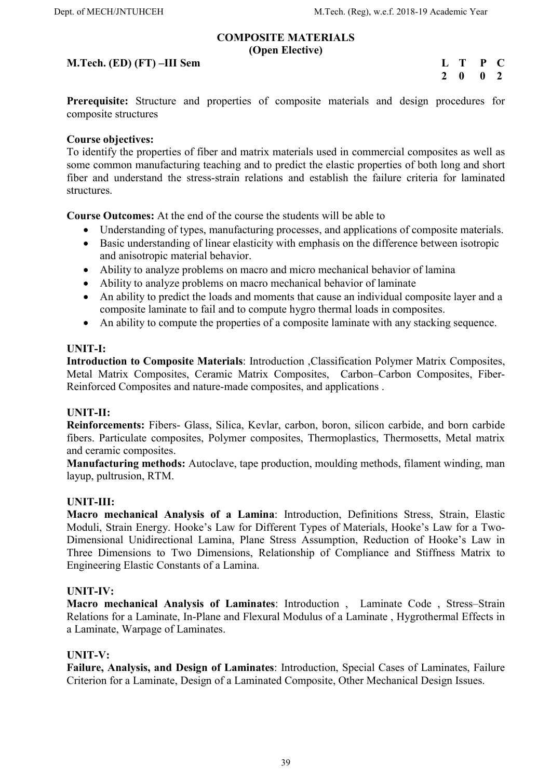#### COMPOSITE MATERIALS (Open Elective)

#### M.Tech. (ED) (FT) –III Sem

| $\mathbf{L}$  | T | $\mathbf{P}$ | C   |
|---------------|---|--------------|-----|
| $\mathcal{L}$ | 0 | 0            | - 2 |

Prerequisite: Structure and properties of composite materials and design procedures for composite structures

#### Course objectives:

To identify the properties of fiber and matrix materials used in commercial composites as well as some common manufacturing teaching and to predict the elastic properties of both long and short fiber and understand the stress-strain relations and establish the failure criteria for laminated structures.

Course Outcomes: At the end of the course the students will be able to

- Understanding of types, manufacturing processes, and applications of composite materials.
- Basic understanding of linear elasticity with emphasis on the difference between isotropic and anisotropic material behavior.
- Ability to analyze problems on macro and micro mechanical behavior of lamina
- Ability to analyze problems on macro mechanical behavior of laminate
- An ability to predict the loads and moments that cause an individual composite layer and a composite laminate to fail and to compute hygro thermal loads in composites.
- An ability to compute the properties of a composite laminate with any stacking sequence.

#### UNIT-I:

Introduction to Composite Materials: Introduction ,Classification Polymer Matrix Composites, Metal Matrix Composites, Ceramic Matrix Composites, Carbon–Carbon Composites, Fiber-Reinforced Composites and nature-made composites, and applications .

#### UNIT-II:

Reinforcements: Fibers- Glass, Silica, Kevlar, carbon, boron, silicon carbide, and born carbide fibers. Particulate composites, Polymer composites, Thermoplastics, Thermosetts, Metal matrix and ceramic composites.

Manufacturing methods: Autoclave, tape production, moulding methods, filament winding, man layup, pultrusion, RTM.

#### UNIT-III:

Macro mechanical Analysis of a Lamina: Introduction, Definitions Stress, Strain, Elastic Moduli, Strain Energy. Hooke's Law for Different Types of Materials, Hooke's Law for a Two-Dimensional Unidirectional Lamina, Plane Stress Assumption, Reduction of Hooke's Law in Three Dimensions to Two Dimensions, Relationship of Compliance and Stiffness Matrix to Engineering Elastic Constants of a Lamina.

#### UNIT-IV:

Macro mechanical Analysis of Laminates: Introduction , Laminate Code , Stress–Strain Relations for a Laminate, In-Plane and Flexural Modulus of a Laminate , Hygrothermal Effects in a Laminate, Warpage of Laminates.

#### UNIT-V:

Failure, Analysis, and Design of Laminates: Introduction, Special Cases of Laminates, Failure Criterion for a Laminate, Design of a Laminated Composite, Other Mechanical Design Issues.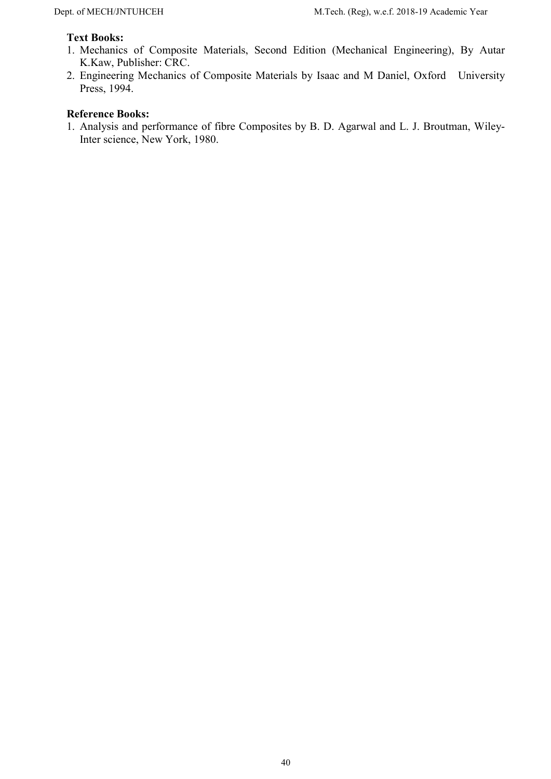## Text Books:

- 1. Mechanics of Composite Materials, Second Edition (Mechanical Engineering), By Autar K.Kaw, Publisher: CRC.
- 2. Engineering Mechanics of Composite Materials by Isaac and M Daniel, Oxford University Press, 1994.

#### Reference Books:

1. Analysis and performance of fibre Composites by B. D. Agarwal and L. J. Broutman, Wiley-Inter science, New York, 1980.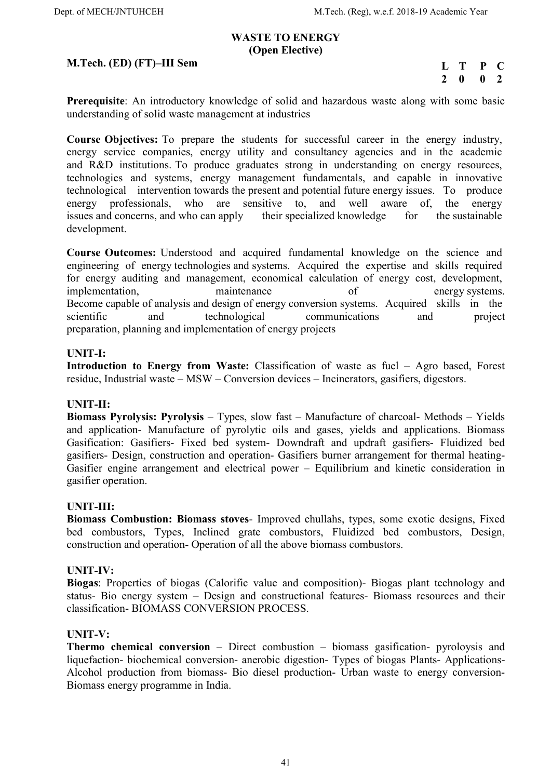#### WASTE TO ENERGY (Open Elective)

#### M.Tech. (ED) (FT)–III Sem

L T P C  $2 \t 0 \t 0 \t 2$ 

Prerequisite: An introductory knowledge of solid and hazardous waste along with some basic understanding of solid waste management at industries

Course Objectives: To prepare the students for successful career in the energy industry, energy service companies, energy utility and consultancy agencies and in the academic and R&D institutions. To produce graduates strong in understanding on energy resources, technologies and systems, energy management fundamentals, and capable in innovative technological intervention towards the present and potential future energy issues. To produce energy professionals, who are sensitive to, and well aware of, the energy issues and concerns, and who can apply their specialized knowledge for the sustainable development.

Course Outcomes: Understood and acquired fundamental knowledge on the science and engineering of energy technologies and systems. Acquired the expertise and skills required for energy auditing and management, economical calculation of energy cost, development, implementation, maintenance of energy systems. Become capable of analysis and design of energy conversion systems. Acquired skills in the scientific and technological communications and project preparation, planning and implementation of energy projects

#### UNIT-I:

Introduction to Energy from Waste: Classification of waste as fuel – Agro based, Forest residue, Industrial waste – MSW – Conversion devices – Incinerators, gasifiers, digestors.

#### UNIT-II:

Biomass Pyrolysis: Pyrolysis – Types, slow fast – Manufacture of charcoal- Methods – Yields and application- Manufacture of pyrolytic oils and gases, yields and applications. Biomass Gasification: Gasifiers- Fixed bed system- Downdraft and updraft gasifiers- Fluidized bed gasifiers- Design, construction and operation- Gasifiers burner arrangement for thermal heating-Gasifier engine arrangement and electrical power – Equilibrium and kinetic consideration in gasifier operation.

#### UNIT-III:

Biomass Combustion: Biomass stoves- Improved chullahs, types, some exotic designs, Fixed bed combustors, Types, Inclined grate combustors, Fluidized bed combustors, Design, construction and operation- Operation of all the above biomass combustors.

#### UNIT-IV:

Biogas: Properties of biogas (Calorific value and composition)- Biogas plant technology and status- Bio energy system – Design and constructional features- Biomass resources and their classification- BIOMASS CONVERSION PROCESS.

#### UNIT-V:

Thermo chemical conversion – Direct combustion – biomass gasification- pyroloysis and liquefaction- biochemical conversion- anerobic digestion- Types of biogas Plants- Applications-Alcohol production from biomass- Bio diesel production- Urban waste to energy conversion-Biomass energy programme in India.